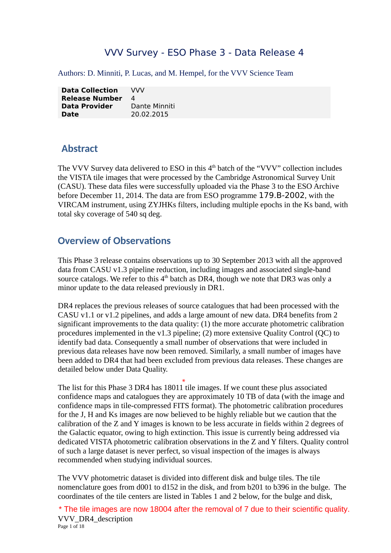## VVV Survey - ESO Phase 3 - Data Release 4

Authors: D. Minniti, P. Lucas, and M. Hempel, for the VVV Science Team

| <b>Data Collection</b> | vvv           |
|------------------------|---------------|
| <b>Release Number</b>  | 4             |
| <b>Data Provider</b>   | Dante Minniti |
| <b>Date</b>            | 20.02.2015    |

## **Abstract**

The VVV Survey data delivered to ESO in this  $4<sup>th</sup>$  batch of the "VVV" collection includes the VISTA tile images that were processed by the Cambridge Astronomical Survey Unit (CASU). These data files were successfully uploaded via the Phase 3 to the ESO Archive before December 11, 2014. The data are from ESO programme 179.B-2002, with the VIRCAM instrument, using ZYJHKs filters, including multiple epochs in the Ks band, with total sky coverage of 540 sq deg.

## **Overview of Observations**

This Phase 3 release contains observations up to 30 September 2013 with all the approved data from CASU v1.3 pipeline reduction, including images and associated single-band source catalogs. We refer to this  $4<sup>th</sup>$  batch as DR4, though we note that DR3 was only a minor update to the data released previously in DR1.

DR4 replaces the previous releases of source catalogues that had been processed with the CASU v1.1 or v1.2 pipelines, and adds a large amount of new data. DR4 benefits from 2 significant improvements to the data quality: (1) the more accurate photometric calibration procedures implemented in the v1.3 pipeline; (2) more extensive Quality Control (QC) to identify bad data. Consequently a small number of observations that were included in previous data releases have now been removed. Similarly, a small number of images have been added to DR4 that had been excluded from previous data releases. These changes are detailed below under Data Quality.

The list for this Phase 3 DR4 has 18011 tile images. If we count these plus associated confidence maps and catalogues they are approximately 10 TB of data (with the image and confidence maps in tile-compressed FITS format). The photometric calibration procedures for the J, H and Ks images are now believed to be highly reliable but we caution that the calibration of the Z and Y images is known to be less accurate in fields within 2 degrees of the Galactic equator, owing to high extinction. This issue is currently being addressed via dedicated VISTA photometric calibration observations in the Z and Y filters. Quality control of such a large dataset is never perfect, so visual inspection of the images is always recommended when studying individual sources.

The VVV photometric dataset is divided into different disk and bulge tiles. The tile nomenclature goes from d001 to d152 in the disk, and from b201 to b396 in the bulge. The coordinates of the tile centers are listed in Tables 1 and 2 below, for the bulge and disk,

VVV\_DR4\_description Page 1 of 18 \* The tile images are now 18004 after the removal of 7 due to their scientific quality.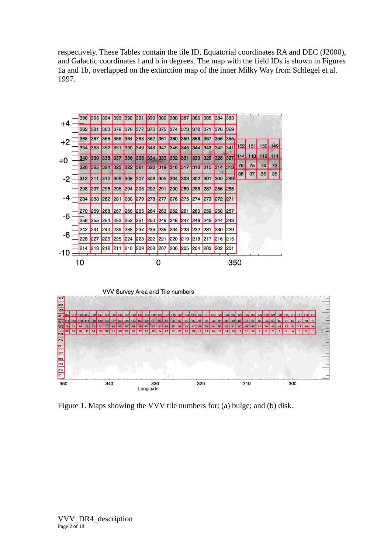respectively. These Tables contain the tile ID, Equatorial coordinates RA and DEC (J2000), and Galactic coordinates l and b in degrees. The map with the field IDs is shown in Figures 1a and 1b, overlapped on the extinction map of the inner Milky Way from Schlegel et al. 1997.



Figure 1. Maps showing the VVV tile numbers for: (a) bulge; and (b) disk.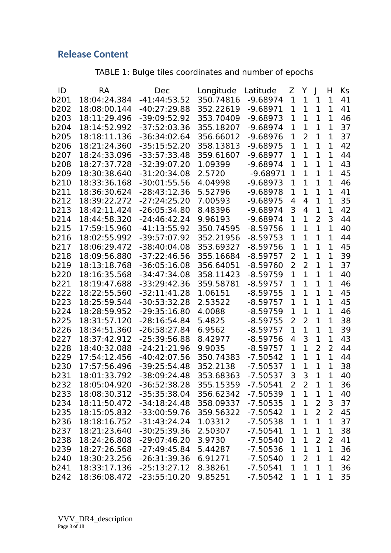# **Release Content**

TABLE 1: Bulge tiles coordinates and number of epochs

| ID          | RA           | <b>Dec</b>     | Longitude | Latitude   | Z              | Y              | $\mathbf{I}$   | H              | Κs |
|-------------|--------------|----------------|-----------|------------|----------------|----------------|----------------|----------------|----|
| b201        | 18:04:24.384 | $-41:44:53.52$ | 350.74816 | $-9.68974$ | $\mathbf{1}$   | $\mathbf{1}$   | $\mathbf{1}$   | 1              | 41 |
| b202        | 18:08:00.144 | $-40:27:29.88$ | 352.22619 | $-9.68971$ | 1              | $\mathbf{1}$   | $\mathbf{1}$   | 1              | 41 |
| b203        | 18:11:29.496 | $-39:09:52.92$ | 353.70409 | $-9.68973$ | 1              | $\mathbf 1$    | $\mathbf{1}$   | 1              | 46 |
| b204        | 18:14:52.992 | $-37:52:03.36$ | 355.18207 | $-9.68974$ | $\mathbf 1$    | $\mathbf{1}$   | $\mathbf{1}$   | 1              | 37 |
| b205        | 18:18:11.136 | $-36:34:02.64$ | 356.66012 | $-9.68976$ | 1              | 2              | $\mathbf{1}$   | 1              | 37 |
| b206        | 18:21:24.360 | $-35:15:52.20$ | 358.13813 | $-9.68975$ | 1              | $\mathbf{1}$   | $\mathbf{1}$   | 1              | 42 |
| b207        | 18:24:33.096 | $-33:57:33.48$ | 359.61607 | $-9.68977$ | 1              | $\mathbf{1}$   | $\mathbf{1}$   | 1              | 44 |
| <b>b208</b> | 18:27:37.728 | $-32:39:07.20$ | 1.09399   | $-9.68974$ | 1              | $\mathbf{1}$   | $\mathbf{1}$   | 1              | 43 |
| b209        | 18:30:38.640 | $-31:20:34.08$ | 2.5720    | $-9.68971$ | 1              | $\mathbf{1}$   | $\mathbf{1}$   | 1              | 45 |
| b210        | 18:33:36.168 | $-30:01:55.56$ | 4.04998   | $-9.68973$ | $\mathbf{1}$   | $\overline{1}$ | $\mathbf{1}$   | $\mathbf{1}$   | 46 |
| b211        | 18:36:30.624 | $-28:43:12.36$ | 5.52796   | $-9.68978$ | 1              | $\mathbf{1}$   | $\mathbf{1}$   | 1              | 41 |
| b212        | 18:39:22.272 | $-27:24:25.20$ | 7.00593   | $-9.68975$ | $\overline{4}$ | 4              | $\mathbf{1}$   | 1              | 35 |
| b213        | 18:42:11.424 | $-26:05:34.80$ | 8.48396   | $-9.68974$ | 3              | 4              | 1              | 1              | 42 |
| b214        | 18:44:58.320 | $-24:46:42.24$ | 9.96193   | $-9.68974$ | 1              | 1              | $\overline{2}$ | 3              | 44 |
| b215        | 17:59:15.960 | $-41:13:55.92$ | 350.74595 | $-8.59756$ | 1              | $\overline{1}$ | $\mathbf{1}$   | 1              | 40 |
| b216        | 18:02:55.992 | $-39:57:07.92$ | 352.21956 | $-8.59753$ | $\mathbf 1$    | $\overline{1}$ | $\mathbf{1}$   | 1              | 44 |
| b217        | 18:06:29.472 | $-38:40:04.08$ | 353.69327 | $-8.59756$ | 1              | $\mathbf{1}$   | $\mathbf{1}$   | 1              | 45 |
| b218        | 18:09:56.880 | $-37:22:46.56$ | 355.16684 | $-8.59757$ | $\overline{2}$ | $\mathbf{1}$   | $\mathbf{1}$   | 1              | 39 |
| b219        | 18:13:18.768 | $-36:05:16.08$ | 356.64051 | $-8.59760$ | 2              | $\overline{2}$ | $\mathbf{1}$   | 1              | 37 |
| b220        | 18:16:35.568 | $-34:47:34.08$ | 358.11423 | $-8.59759$ | 1              | $\mathbf{1}$   | $\mathbf{1}$   | 1              | 40 |
| b221        | 18:19:47.688 | $-33:29:42.36$ | 359.58781 | $-8.59757$ | $\mathbf{1}$   | $\mathbf{1}$   | $\mathbf{1}$   | 1              | 46 |
| b222        | 18:22:55.560 | $-32:11:41.28$ | 1.06151   | $-8.59755$ | $\mathbf{1}$   | $\overline{1}$ | $\mathbf{1}$   | 1              | 45 |
| b223        | 18:25:59.544 | $-30:53:32.28$ | 2.53522   | $-8.59757$ | 1              | $\mathbf{1}$   | $\mathbf{1}$   | 1              | 45 |
| b224        | 18:28:59.952 | $-29:35:16.80$ | 4.0088    | $-8.59759$ | 1              | $\mathbf 1$    | $\mathbf{1}$   | 1              | 46 |
| b225        | 18:31:57.120 | $-28:16:54.84$ | 5.4825    | $-8.59755$ | 2              | $\overline{2}$ | $\mathbf{1}$   | 1              | 38 |
| b226        | 18:34:51.360 | $-26:58:27.84$ | 6.9562    | $-8.59757$ | 1              | $\mathbf{1}$   | $\mathbf 1$    | 1              | 39 |
| b227        | 18:37:42.912 | $-25:39:56.88$ | 8.42977   | $-8.59756$ | 4              | 3              | $\mathbf 1$    | 1              | 43 |
| b228        | 18:40:32.088 | $-24:21:21.96$ | 9.9035    | $-8.59757$ | 1              | $\overline{1}$ | $\overline{2}$ | $\overline{2}$ | 44 |
| b229        | 17:54:12.456 | $-40:42:07.56$ | 350.74383 | $-7.50542$ | 1              | $\mathbf{1}$   | $\mathbf{1}$   | $\mathbf 1$    | 44 |
| b230        | 17:57:56.496 | $-39:25:54.48$ | 352.2138  | $-7.50537$ | $\mathbf 1$    | 1              | $\mathbf{1}$   | 1              | 38 |
| b231        | 18:01:33.792 | $-38:09:24.48$ | 353.68363 | $-7.50537$ | 3              | 3              | 1              | $\overline{1}$ | 40 |
| b232        | 18:05:04.920 | $-36:52:38.28$ | 355.15359 | $-7.50541$ | $\overline{2}$ | 2              | 1              | 1              | 36 |
| b233        | 18:08:30.312 | $-35:35:38.04$ | 356.62342 | $-7.50539$ | $\mathbf 1$    | $\mathbf{1}$   | 1              | 1              | 40 |
| b234        | 18:11:50.472 | $-34:18:24.48$ | 358.09337 | $-7.50535$ | $\mathbf 1$    | $\mathbf 1$    | $\overline{2}$ | $\mathsf 3$    | 37 |
| b235        | 18:15:05.832 | $-33:00:59.76$ | 359.56322 | $-7.50542$ | 1              | $\mathbf 1$    | $\overline{2}$ | $\overline{2}$ | 45 |
| b236        | 18:18:16.752 | $-31:43:24.24$ | 1.03312   | $-7.50538$ | $\mathbf 1$    | $\mathbf 1$    | $\mathbf 1$    | $\overline{1}$ | 37 |
| b237        | 18:21:23.640 | $-30:25:39.36$ | 2.50307   | $-7.50541$ | $\mathbf 1$    | $\mathbf 1$    | $\mathbf 1$    | $\mathbf 1$    | 38 |
| b238        | 18:24:26.808 | $-29:07:46.20$ | 3.9730    | $-7.50540$ | $\mathbf 1$    | $\mathbf{1}$   | $\overline{2}$ | 2              | 41 |
| b239        | 18:27:26.568 | $-27:49:45.84$ | 5.44287   | $-7.50536$ | 1              | $\mathbf 1$    | $\mathbf 1$    | $\mathbf 1$    | 36 |
| b240        | 18:30:23.256 | $-26:31:39.36$ | 6.91271   | $-7.50540$ | $\mathbf 1$    | $\overline{2}$ | $\mathbf 1$    | $\mathbf{1}$   | 42 |
| b241        | 18:33:17.136 | $-25:13:27.12$ | 8.38261   | $-7.50541$ | 1              | $\mathbf{1}$   | $\mathbf{1}$   | 1              | 36 |
| b242        | 18:36:08.472 | $-23:55:10.20$ | 9.85251   | $-7.50542$ | 1              | $\mathbf 1$    | $\mathbf 1$    | 1              | 35 |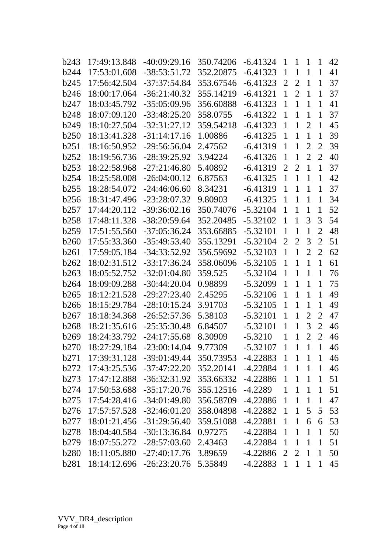| <b>b243</b>      | 17:49:13.848 | $-40:09:29.16$            | 350.74206 | $-6.41324$ | $\mathbf{1}$   | $\mathbf{1}$   | $\mathbf{1}$   | 1              | 42 |
|------------------|--------------|---------------------------|-----------|------------|----------------|----------------|----------------|----------------|----|
| <b>b244</b>      | 17:53:01.608 | $-38:53:51.72$            | 352.20875 | $-6.41323$ | $\mathbf{1}$   | $\mathbf{1}$   | $\mathbf{1}$   | 1              | 41 |
| <b>b245</b>      | 17:56:42.504 | $-37:37:54.84$            | 353.67546 | $-6.41323$ | $\overline{2}$ | $\overline{2}$ | $\mathbf{1}$   | $\mathbf 1$    | 37 |
| <b>b246</b>      | 18:00:17.064 | $-36:21:40.32$            | 355.14219 | $-6.41321$ | $\mathbf{1}$   | $\overline{2}$ | $\mathbf{1}$   | 1              | 37 |
| <b>b247</b>      | 18:03:45.792 | $-35:05:09.96$            | 356.60888 | $-6.41323$ | $\mathbf{1}$   | 1              | $\mathbf{1}$   | 1              | 41 |
| <b>b248</b>      | 18:07:09.120 | $-33:48:25.20$            | 358.0755  | $-6.41322$ | $\mathbf{1}$   | $\mathbf{1}$   | $\mathbf{1}$   | $\mathbf 1$    | 37 |
| b <sub>249</sub> | 18:10:27.504 | $-32:31:27.12$            | 359.54218 | $-6.41323$ | $\mathbf{1}$   | $\mathbf{1}$   | $\overline{2}$ | $\mathbf 1$    | 45 |
| <b>b250</b>      | 18:13:41.328 | $-31:14:17.16$            | 1.00886   | $-6.41325$ | $\mathbf{1}$   | 1              | $\mathbf{1}$   | $\overline{1}$ | 39 |
| <b>b251</b>      | 18:16:50.952 | $-29:56:56.04$            | 2.47562   | $-6.41319$ | $\mathbf{1}$   | $\mathbf{1}$   | $\overline{2}$ | $\overline{2}$ | 39 |
| b <sub>252</sub> | 18:19:56.736 | $-28:39:25.92$            | 3.94224   | $-6.41326$ | $\mathbf{1}$   | $\mathbf{1}$   | $\overline{2}$ | $\overline{2}$ | 40 |
| <b>b253</b>      | 18:22:58.968 | $-27:21:46.80$            | 5.40892   | $-6.41319$ | $\overline{2}$ | $\overline{2}$ | $\mathbf{1}$   | $\mathbf{1}$   | 37 |
| <b>b254</b>      | 18:25:58.008 | $-26:04:00.12$            | 6.87563   | $-6.41325$ | $\mathbf{1}$   | $\mathbf{1}$   | $\mathbf{1}$   | 1              | 42 |
| <b>b255</b>      | 18:28:54.072 | $-24:46:06.60$            | 8.34231   | $-6.41319$ | $\mathbf{1}$   | $\mathbf{1}$   | $\mathbf{1}$   | $\mathbf{1}$   | 37 |
| <b>b256</b>      | 18:31:47.496 | -23:28:07.32              | 9.80903   | $-6.41325$ | $\mathbf{1}$   | $\overline{1}$ | $\mathbf{1}$   | $\mathbf{1}$   | 34 |
| <b>b</b> 257     | 17:44:20.112 | -39:36:02.16              | 350.74076 | $-5.32104$ | $\mathbf{1}$   | $\mathbf{1}$   | $\mathbf{1}$   | $\mathbf{1}$   | 52 |
| <b>b258</b>      | 17:48:11.328 | $-38:20:59.64$            | 352.20485 | $-5.32102$ | $\mathbf{1}$   | $\mathbf{1}$   | 3              | 3              | 54 |
| b259             | 17:51:55.560 | $-37:05:36.24$            | 353.66885 | $-5.32101$ | $\mathbf{1}$   | $\mathbf{1}$   | $\mathbf{1}$   | $\overline{2}$ | 48 |
| <b>b260</b>      | 17:55:33.360 | $-35:49:53.40$            | 355.13291 | $-5.32104$ | $\overline{2}$ | $\overline{2}$ | 3              | $\overline{2}$ | 51 |
| b261             | 17:59:05.184 | $-34:33:52.92$            | 356.59692 | $-5.32103$ | $\mathbf{1}$   | $\mathbf{1}$   | $\overline{2}$ | $\overline{2}$ | 62 |
| b262             | 18:02:31.512 | $-33:17:36.24$            | 358.06096 | $-5.32105$ | $\mathbf{1}$   | $\mathbf{1}$   | $\mathbf{1}$   | $\mathbf 1$    | 61 |
| <b>b263</b>      | 18:05:52.752 | $-32:01:04.80$            | 359.525   | $-5.32104$ | $\mathbf{1}$   | 1              | $\mathbf{1}$   | $\mathbf{1}$   | 76 |
| <b>b264</b>      | 18:09:09.288 | $-30:44:20.04$            | 0.98899   | $-5.32099$ | $\mathbf{1}$   | $\mathbf{1}$   | $\mathbf{1}$   | 1              | 75 |
| <b>b265</b>      | 18:12:21.528 | $-29:27:23.40$            | 2.45295   | $-5.32106$ | $\mathbf{1}$   | $\mathbf{1}$   | 1              | $\mathbf 1$    | 49 |
| <b>b266</b>      | 18:15:29.784 | $-28:10:15.24$            | 3.91703   | $-5.32105$ | $\mathbf{1}$   | $\mathbf{1}$   | $\mathbf{1}$   | 1              | 49 |
| <b>b267</b>      | 18:18:34.368 | $-26:52:57.36$            | 5.38103   | $-5.32101$ | $\mathbf{1}$   | $\mathbf{1}$   | $\overline{2}$ | $\overline{2}$ | 47 |
| <b>b268</b>      | 18:21:35.616 | -25:35:30.48              | 6.84507   | $-5.32101$ | $\mathbf{1}$   | $\mathbf{1}$   | 3              | $\overline{2}$ | 46 |
| b <sub>269</sub> | 18:24:33.792 | $-24:17:55.68$            | 8.30909   | $-5.3210$  | $\mathbf{1}$   | 1              | $\overline{2}$ | $\overline{2}$ | 46 |
| <b>b270</b>      | 18:27:29.184 | $-23:00:14.04$            | 9.77309   | $-5.32107$ | $\mathbf{1}$   | $\overline{1}$ | $\mathbf{1}$   | $\overline{1}$ | 46 |
| b271             |              | 17:39:31.128 -39:01:49.44 | 350.73953 | -4.22883   | $\mathbf{1}$   | $\mathbf{1}$   | $\mathbf{1}$   | $\mathbf 1$    | 46 |
| b272             | 17:43:25.536 | -37:47:22.20              | 352.20141 | $-4.22884$ | $\mathbf{1}$   | $\mathbf{1}$   | $\mathbf{1}$   | $\mathbf{1}$   | 46 |
| <b>b</b> 273     | 17:47:12.888 | -36:32:31.92              | 353.66332 | -4.22886   | $\mathbf{1}$   | $\mathbf{1}$   | $\mathbf{1}$   | $\mathbf{1}$   | 51 |
| <b>b</b> 274     | 17:50:53.688 | -35:17:20.76              | 355.12516 | -4.2289    | $\mathbf{1}$   | $\mathbf{1}$   | $\mathbf{1}$   | $\mathbf{1}$   | 51 |
| b275             | 17:54:28.416 | $-34:01:49.80$            | 356.58709 | $-4.22886$ | $\mathbf{1}$   | $\mathbf{1}$   | $\mathbf{1}$   | $\mathbf{1}$   | 47 |
| <b>b276</b>      |              | 17:57:57.528 -32:46:01.20 | 358.04898 | -4.22882   | $\mathbf{1}$   | $\mathbf{1}$   | 5              | 5              | 53 |
| <b>b</b> 277     |              | 18:01:21.456 -31:29:56.40 | 359.51088 | $-4.22881$ | $\mathbf{1}$   | $\mathbf{1}$   | 6              | 6              | 53 |
| <b>b278</b>      | 18:04:40.584 | -30:13:36.84              | 0.97275   | $-4.22884$ | $\mathbf{1}$   | $\mathbf{1}$   | $\mathbf{1}$   | $\mathbf{1}$   | 50 |
| b279             |              | 18:07:55.272 -28:57:03.60 | 2.43463   | -4.22884   | $\mathbf{1}$   | $\mathbf{1}$   | $\mathbf{1}$   | $\mathbf{1}$   | 51 |
| <b>b280</b>      | 18:11:05.880 | -27:40:17.76              | 3.89659   | -4.22886   | $\overline{2}$ | 2              | $\mathbf{1}$   | $\mathbf{1}$   | 50 |
| <b>b281</b>      | 18:14:12.696 | -26:23:20.76              | 5.35849   | -4.22883   | $\mathbf{1}$   | $\mathbf{1}$   | $\mathbf{1}$   | $\mathbf{1}$   | 45 |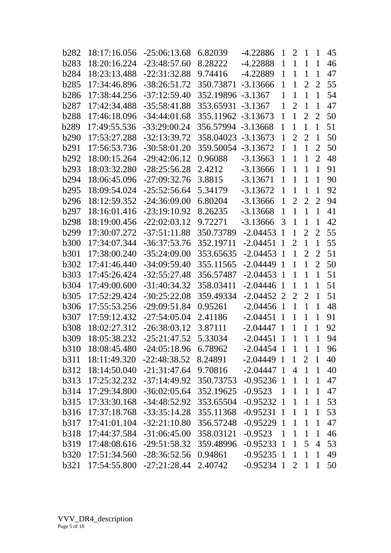| b282             | 18:17:16.056              | $-25:06:13.68$                    | 6.82039            | $-4.22886$   | $\mathbf{1}$   | $\overline{2}$ | $\mathbf{1}$   | 1              | 45 |
|------------------|---------------------------|-----------------------------------|--------------------|--------------|----------------|----------------|----------------|----------------|----|
| <b>b283</b>      | 18:20:16.224              | $-23:48:57.60$                    | 8.28222            | $-4.22888$   | $\mathbf{1}$   | $\mathbf{1}$   | $\mathbf{1}$   | $\mathbf{1}$   | 46 |
| <b>b284</b>      | 18:23:13.488              | $-22:31:32.88$                    | 9.74416            | $-4.22889$   | $\mathbf{1}$   | $\mathbf{1}$   | $\mathbf{1}$   | $\mathbf{1}$   | 47 |
| <b>b285</b>      | 17:34:46.896              | $-38:26:51.72$                    | 350.73871          | $-3.13666$   | $\mathbf{1}$   | $\mathbf{1}$   | $\overline{2}$ | $\overline{2}$ | 55 |
| <b>b286</b>      | 17:38:44.256              | $-37:12:59.40$                    | 352.19896          | $-3.1367$    | $\mathbf{1}$   | $\mathbf{1}$   | $\mathbf{1}$   | $\mathbf{1}$   | 54 |
| b287             | 17:42:34.488              | $-35:58:41.88$                    | 353.65931          | $-3.1367$    | $\mathbf{1}$   | $\overline{2}$ | $\mathbf{1}$   | $\mathbf{1}$   | 47 |
| <b>b288</b>      | 17:46:18.096              | $-34:44:01.68$                    | 355.11962 -3.13673 |              | $\mathbf{1}$   | $\mathbf{1}$   | $\overline{2}$ | $\overline{2}$ | 50 |
| b289             | 17:49:55.536              | $-33:29:00.24$                    | 356.57994 -3.13668 |              | $\mathbf{1}$   | $\mathbf{1}$   | $\mathbf{1}$   | $\mathbf{1}$   | 51 |
| b290             | 17:53:27.288              | $-32:13:39.72$                    | 358.04023          | -3.13673     | $\mathbf{1}$   | $\overline{2}$ | $\overline{2}$ | $\mathbf{1}$   | 50 |
| b291             | 17:56:53.736              | $-30:58:01.20$                    | 359.50054          | $-3.13672$   | $\mathbf{1}$   | $\mathbf{1}$   | $\mathbf{1}$   | $\overline{2}$ | 50 |
| b292             | 18:00:15.264              | $-29:42:06.12$                    | 0.96088            | $-3.13663$   | $\mathbf{1}$   | $\mathbf{1}$   | $\mathbf{1}$   | $\overline{2}$ | 48 |
| <b>b293</b>      | 18:03:32.280              | $-28:25:56.28$                    | 2.4212             | $-3.13666$   | $\mathbf{1}$   | $\mathbf{1}$   | $\mathbf{1}$   | $\mathbf{1}$   | 91 |
| b <sub>294</sub> | 18:06:45.096              | $-27:09:32.76$                    | 3.8815             | $-3.13671$   | $\mathbf{1}$   | $\mathbf{1}$   | $\mathbf{1}$   | $\mathbf{1}$   | 90 |
| b295             | 18:09:54.024              | $-25:52:56.64$                    | 5.34179            | $-3.13672$   | $\mathbf{1}$   | $\mathbf{1}$   | $\mathbf{1}$   | $\mathbf{1}$   | 92 |
| <b>b296</b>      | 18:12:59.352              | $-24:36:09.00$                    | 6.80204            | $-3.13666$   | $\mathbf{1}$   | $\overline{2}$ | $\overline{2}$ | $\overline{2}$ | 94 |
| b297             | 18:16:01.416              | $-23:19:10.92$                    | 8.26235            | $-3.13668$   | $\mathbf{1}$   | $\mathbf{1}$   | $\mathbf{1}$   | $\mathbf{1}$   | 41 |
| <b>b298</b>      | 18:19:00.456              | $-22:02:03.12$                    | 9.72271            | $-3.13666$   | 3              | $\mathbf{1}$   | 1              | 1              | 42 |
| b299             | 17:30:07.272              | $-37:51:11.88$                    | 350.73789          | $-2.04453$   | $\mathbf{1}$   | $\mathbf{1}$   | $\overline{2}$ | $\overline{2}$ | 55 |
| <b>b300</b>      | 17:34:07.344              | $-36:37:53.76$                    | 352.19711          | $-2.04451$   | $\mathbf{1}$   | $\overline{2}$ | $\mathbf{1}$   | $\mathbf{1}$   | 55 |
| <b>b301</b>      | 17:38:00.240              | $-35:24:09.00$                    | 353.65635          | $-2.04453$   | $\mathbf{1}$   | $\mathbf{1}$   | $\overline{2}$ | $\overline{2}$ | 51 |
| <b>b302</b>      | 17:41:46.440              | $-34:09:59.40$                    | 355.11565          | $-2.04449$   | $\mathbf{1}$   | $\mathbf{1}$   | $\mathbf{1}$   | $\overline{2}$ | 50 |
| <b>b</b> 303     | 17:45:26.424              | $-32:55:27.48$                    | 356.57487          | $-2.04453$   | -1             | $\mathbf{1}$   | $\mathbf{1}$   | $\mathbf{1}$   | 51 |
| <b>b304</b>      | 17:49:00.600              | $-31:40:34.32$                    | 358.03411          | $-2.04446$   | $\mathbf{1}$   | $\mathbf{1}$   | $\mathbf{1}$   | 1              | 51 |
| <b>b305</b>      | 17:52:29.424              | $-30:25:22.08$                    | 359.49334          | $-2.04452$ 2 |                | $\overline{2}$ | $\overline{2}$ | $\mathbf{1}$   | 51 |
| <b>b306</b>      | 17:55:53.256              | $-29:09:51.84$                    | 0.95261            | $-2.04456$   | $\mathbf{1}$   | $\mathbf{1}$   | $\mathbf{1}$   | $\mathbf{1}$   | 48 |
| <b>b307</b>      | 17:59:12.432              | $-27:54:05.04$                    | 2.41186            | $-2.04451$   | $\mathbf{1}$   | $\mathbf{1}$   | $\mathbf{1}$   | $\mathbf{1}$   | 91 |
| <b>b308</b>      | 18:02:27.312              | $-26:38:03.12$                    | 3.87111            | $-2.04447$   | $\overline{1}$ | 1              | $\mathbf{1}$   | 1              | 92 |
| <b>b309</b>      | 18:05:38.232              | $-25:21:47.52$                    | 5.33034            | $-2.04451$   | $\mathbf{1}$   | $\mathbf{1}$   | $\mathbf{1}$   | $\overline{1}$ | 94 |
| <b>b310</b>      | 18:08:45.480 -24:05:18.96 |                                   | 6.78962            | $-2.04454$ 1 |                | $\mathbf{1}$   | $\mathbf{1}$   | $\mathbf{1}$   | 96 |
| <b>b311</b>      | 18:11:49.320 -22:48:38.52 |                                   | 8.24891            | $-2.04449$ 1 |                | $\mathbf{1}$   | $\overline{2}$ | $\mathbf{1}$   | 40 |
| <b>b</b> 312     |                           | 18:14:50.040 -21:31:47.64         | 9.70816            | $-2.04447$ 1 |                | $\overline{4}$ | $\mathbf{1}$   | $\mathbf{1}$   | 40 |
| <b>b</b> 313     |                           | 17:25:32.232 -37:14:49.92         | 350.73753          | $-0.95236$ 1 |                | $\mathbf{1}$   | $\mathbf{1}$   | $\mathbf{1}$   | 47 |
| <b>b</b> 314     | 17:29:34.800              | $-36:02:05.64$                    | 352.19625          | $-0.9523$    | $\mathbf{1}$   | $\mathbf{1}$   | $\mathbf{1}$   | $\mathbf{1}$   | 47 |
| <b>b</b> 315     | 17:33:30.168              | -34:48:52.92                      | 353.65504          | $-0.95232$ 1 |                | $\mathbf{1}$   | $\mathbf{1}$   | $\mathbf{1}$   | 53 |
| <b>b</b> 316     |                           | 17:37:18.768 -33:35:14.28         | 355.11368          | $-0.95231$ 1 |                | $\mathbf{1}$   | $\mathbf{1}$   | $\mathbf{1}$   | 53 |
| <b>b</b> 317     | 17:41:01.104              | $-32:21:10.80$                    | 356.57248          | $-0.95229$ 1 |                | $\mathbf{1}$   | $\mathbf{1}$   | $\mathbf{1}$   | 47 |
| <b>b318</b>      |                           | 17:44:37.584 -31:06:45.00         | 358.03121          | $-0.9523$    | $\mathbf{1}$   | $\mathbf{1}$   | $\mathbf{1}$   | $\mathbf{1}$   | 46 |
| <b>b319</b>      |                           | 17:48:08.616 -29:51:58.32         | 359.48996          | $-0.95233$ 1 |                | $\mathbf{1}$   | 5 <sup>1</sup> | $\overline{4}$ | 53 |
| <b>b320</b>      | 17:51:34.560              | $-28:36:52.56$                    | 0.94861            | $-0.95235$ 1 |                | $\mathbf{1}$   | $\mathbf{1}$   | $\mathbf{1}$   | 49 |
| <b>b321</b>      |                           | 17:54:55.800 -27:21:28.44 2.40742 |                    | $-0.95234$ 1 |                | 2 <sup>7</sup> | $\mathbf{1}$   | $\mathbf{1}$   | 50 |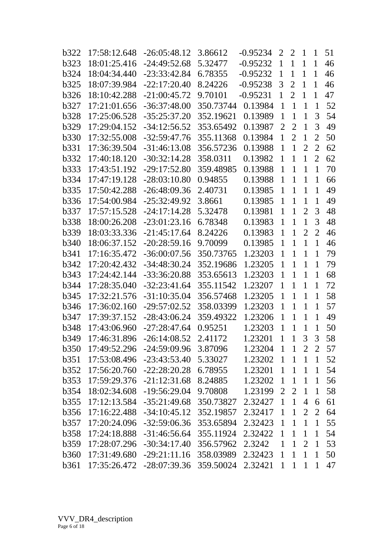| b322         | 17:58:12.648 | $-26:05:48.12$ | 3.86612                                                                                                                                                                                          | $-0.95234$ | $\overline{2}$                                                                          | $\overline{2}$ | $\mathbf{1}$   | $\mathbf{1}$   | 51 |
|--------------|--------------|----------------|--------------------------------------------------------------------------------------------------------------------------------------------------------------------------------------------------|------------|-----------------------------------------------------------------------------------------|----------------|----------------|----------------|----|
| b323         | 18:01:25.416 | $-24:49:52.68$ | 5.32477                                                                                                                                                                                          | $-0.95232$ | $\mathbf{1}$                                                                            | $\mathbf{1}$   | $\mathbf{1}$   | 1              | 46 |
| <b>b324</b>  | 18:04:34.440 | $-23:33:42.84$ | 6.78355                                                                                                                                                                                          | $-0.95232$ | $\mathbf{1}$                                                                            | $\mathbf{1}$   | $\mathbf{1}$   | $\mathbf 1$    | 46 |
| <b>b325</b>  | 18:07:39.984 | $-22:17:20.40$ | 8.24226                                                                                                                                                                                          | $-0.95238$ | 3                                                                                       | $\overline{2}$ | 1              | 1              | 46 |
| <b>b326</b>  | 18:10:42.288 | $-21:00:45.72$ | 9.70101                                                                                                                                                                                          | $-0.95231$ | $\mathbf{1}$                                                                            | $\overline{2}$ | 1              | 1              | 47 |
| <b>b327</b>  | 17:21:01.656 | $-36:37:48.00$ | 350.73744                                                                                                                                                                                        | 0.13984    | $\mathbf{1}$                                                                            | $\mathbf{1}$   | $\mathbf{1}$   | $\mathbf{1}$   | 52 |
| <b>b328</b>  | 17:25:06.528 | $-35:25:37.20$ | 352.19621                                                                                                                                                                                        | 0.13989    | $\mathbf{1}$                                                                            | $\mathbf{1}$   | $\mathbf{1}$   | 3              | 54 |
| <b>b329</b>  | 17:29:04.152 | $-34:12:56.52$ | 353.65492                                                                                                                                                                                        | 0.13987    | $\overline{2}$                                                                          | $\overline{2}$ | $\mathbf{1}$   | 3              | 49 |
| <b>b330</b>  | 17:32:55.008 | $-32:59:47.76$ | 355.11368                                                                                                                                                                                        | 0.13984    | $\mathbf{1}$                                                                            | $\overline{2}$ | $\mathbf{1}$   | $\overline{2}$ | 50 |
| <b>b</b> 331 | 17:36:39.504 | $-31:46:13.08$ | 356.57236                                                                                                                                                                                        | 0.13988    | $\mathbf{1}$                                                                            | $\mathbf{1}$   | $\overline{2}$ | $\overline{2}$ | 62 |
| b332         | 17:40:18.120 | $-30:32:14.28$ | 358.0311                                                                                                                                                                                         | 0.13982    | 1                                                                                       | $\mathbf{1}$   | $\mathbf{1}$   | $\overline{2}$ | 62 |
| <b>b333</b>  | 17:43:51.192 | $-29:17:52.80$ | 359.48985                                                                                                                                                                                        | 0.13988    | $\mathbf{1}$                                                                            | $\mathbf{1}$   | $\mathbf{1}$   | $\mathbf{1}$   | 70 |
| <b>b</b> 334 | 17:47:19.128 | $-28:03:10.80$ | 0.94855                                                                                                                                                                                          | 0.13988    | $\mathbf{1}$                                                                            | $\mathbf{1}$   | $\mathbf{1}$   | $\mathbf{1}$   | 66 |
| <b>b335</b>  | 17:50:42.288 | $-26:48:09.36$ | 2.40731                                                                                                                                                                                          | 0.13985    | $\mathbf{1}$                                                                            | $\mathbf{1}$   | $\mathbf{1}$   | $\mathbf{1}$   | 49 |
| <b>b336</b>  | 17:54:00.984 | $-25:32:49.92$ | 3.8661                                                                                                                                                                                           | 0.13985    | $\mathbf{1}$                                                                            | $\mathbf{1}$   | $\mathbf{1}$   | 1              | 49 |
| <b>b</b> 337 | 17:57:15.528 | $-24:17:14.28$ | 5.32478                                                                                                                                                                                          | 0.13981    | $\mathbf{1}$                                                                            | $\mathbf{1}$   | $\overline{2}$ | 3              | 48 |
| b338         | 18:00:26.208 | $-23:01:23.16$ | 6.78348                                                                                                                                                                                          | 0.13983    | $\mathbf{1}$                                                                            | $\mathbf{1}$   | $\mathbf{1}$   | 3              | 48 |
| b339         | 18:03:33.336 | $-21:45:17.64$ | 8.24226                                                                                                                                                                                          | 0.13983    | $\mathbf{1}$                                                                            | $\mathbf{1}$   | $\overline{2}$ | $\overline{2}$ | 46 |
| <b>b340</b>  | 18:06:37.152 | $-20:28:59.16$ | 9.70099                                                                                                                                                                                          | 0.13985    | $\mathbf{1}$                                                                            | $\mathbf{1}$   | $\mathbf{1}$   | $\mathbf{1}$   | 46 |
| <b>b341</b>  | 17:16:35.472 | $-36:00:07.56$ | 350.73765                                                                                                                                                                                        | 1.23203    | $\mathbf{1}$                                                                            | $\mathbf{1}$   | $\mathbf{1}$   | 1              | 79 |
| <b>b342</b>  | 17:20:42.432 | $-34:48:30.24$ | 352.19686                                                                                                                                                                                        | 1.23205    | $\mathbf{1}$                                                                            | $\mathbf{1}$   | $\mathbf{1}$   | $\mathbf{1}$   | 79 |
| <b>b</b> 343 | 17:24:42.144 | $-33:36:20.88$ | 353.65613                                                                                                                                                                                        | 1.23203    | $\mathbf{1}$                                                                            | $\mathbf{1}$   | $\mathbf{1}$   | $\mathbf{1}$   | 68 |
| <b>b344</b>  | 17:28:35.040 | $-32:23:41.64$ | 355.11542                                                                                                                                                                                        | 1.23207    | $\mathbf{1}$                                                                            | $\mathbf{1}$   | $\mathbf{1}$   | $\mathbf{1}$   | 72 |
| <b>b</b> 345 | 17:32:21.576 | $-31:10:35.04$ | 356.57468                                                                                                                                                                                        | 1.23205    | $\mathbf{1}$                                                                            | $\mathbf{1}$   | $\mathbf{1}$   | $\mathbf{1}$   | 58 |
| <b>b</b> 346 | 17:36:02.160 | $-29:57:02.52$ | 358.03399                                                                                                                                                                                        | 1.23203    | $\mathbf{1}$                                                                            | $\mathbf{1}$   | $\mathbf{1}$   | $\mathbf{1}$   | 57 |
| <b>b347</b>  | 17:39:37.152 | $-28:43:06.24$ | 359.49322                                                                                                                                                                                        | 1.23206    | $\mathbf{1}$                                                                            | $\mathbf{1}$   | $\mathbf{1}$   | 1              | 49 |
| <b>b348</b>  | 17:43:06.960 | $-27:28:47.64$ | 0.95251                                                                                                                                                                                          | 1.23203    | $\mathbf{1}$                                                                            | $\mathbf{1}$   | $\mathbf{1}$   | $\mathbf{1}$   | 50 |
| b349         | 17:46:31.896 | $-26:14:08.52$ | 2.41172                                                                                                                                                                                          | 1.23201    | $\mathbf{1}$                                                                            | $\mathbf{1}$   | 3              | 3              | 58 |
| <b>b</b> 350 |              |                | 3.87096                                                                                                                                                                                          | 1.23204    | $\mathbf{1}$                                                                            | $\mathbf{1}$   | 2              | 2              | 57 |
| <b>b351</b>  |              | $-23:43:53.40$ | 5.33027                                                                                                                                                                                          | 1.23202    | $\mathbf{1}$                                                                            | $\mathbf{1}$   | $\mathbf{1}$   | $\mathbf{1}$   | 52 |
| <b>b</b> 352 |              | $-22:28:20.28$ | 6.78955                                                                                                                                                                                          | 1.23201    | $\mathbf{1}$                                                                            | $\mathbf{1}$   | $\mathbf{1}$   | $\mathbf{1}$   | 54 |
| <b>b</b> 353 |              |                | 8.24885                                                                                                                                                                                          | 1.23202    | $\mathbf{1}$                                                                            | $\mathbf{1}$   | $\mathbf{1}$   | $\mathbf{1}$   | 56 |
| <b>b</b> 354 |              | $-19:56:29.04$ | 9.70808                                                                                                                                                                                          | 1.23199    | $\overline{2}$                                                                          | $\overline{2}$ | $\mathbf{1}$   | $\mathbf{1}$   | 58 |
| <b>b</b> 355 | 17:12:13.584 | $-35:21:49.68$ |                                                                                                                                                                                                  | 2.32427    | $\mathbf{1}$                                                                            | $\mathbf{1}$   | $\overline{4}$ | 6              | 61 |
| <b>b</b> 356 |              |                |                                                                                                                                                                                                  | 2.32417    | $\mathbf{1}$                                                                            | $\mathbf{1}$   | 2              | 2              | 64 |
| <b>b</b> 357 | 17:20:24.096 | $-32:59:06.36$ |                                                                                                                                                                                                  | 2.32423    | $\mathbf{1}$                                                                            | $\mathbf{1}$   | $\mathbf{1}$   | $\mathbf{1}$   | 55 |
| <b>b</b> 358 |              | $-31:46:56.64$ |                                                                                                                                                                                                  | 2.32422    | $\mathbf{1}$                                                                            | $\mathbf{1}$   | $\mathbf{1}$   | $\mathbf{1}$   | 54 |
| <b>b</b> 359 |              |                |                                                                                                                                                                                                  | 2.3242     | $\mathbf{1}$                                                                            | $\mathbf{1}$   | $\overline{2}$ | $\mathbf{1}$   | 53 |
| <b>b360</b>  | 17:31:49.680 | $-29:21:11.16$ |                                                                                                                                                                                                  | 2.32423    | $\mathbf{1}$                                                                            | $\mathbf{1}$   | $\mathbf{1}$   | $\mathbf{1}$   | 50 |
| <b>b361</b>  |              | $-28:07:39.36$ |                                                                                                                                                                                                  | 2.32421    | $\mathbf{1}$                                                                            | $\mathbf{1}$   | $\mathbf{1}$   | $\mathbf{1}$   | 47 |
|              |              |                | 17:49:52.296 -24:59:09.96<br>17:53:08.496<br>17:56:20.760<br>17:59:29.376 -21:12:31.68<br>18:02:34.608<br>17:16:22.488 -34:10:45.12<br>17:24:18.888<br>17:28:07.296 -30:34:17.40<br>17:35:26.472 |            | 350.73827<br>352.19857<br>353.65894<br>355.11924<br>356.57962<br>358.03989<br>359.50024 |                |                |                |    |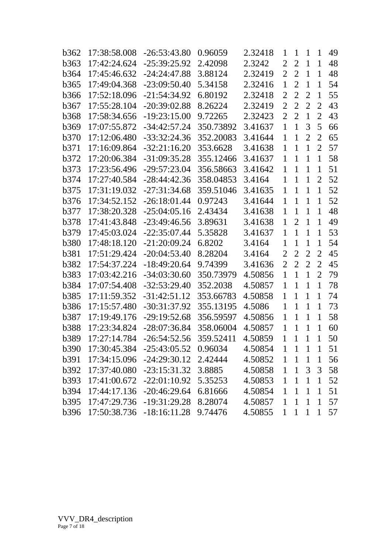| b362             | 17:38:58.008 | $-26:53:43.80$ | 0.96059   | 2.32418 | 1              | $\mathbf{1}$   | 1              | 1              | 49 |
|------------------|--------------|----------------|-----------|---------|----------------|----------------|----------------|----------------|----|
| <b>b</b> 363     | 17:42:24.624 | $-25:39:25.92$ | 2.42098   | 2.3242  | $\overline{2}$ | $\overline{2}$ | $\mathbf{1}$   | $\mathbf{1}$   | 48 |
| <b>b364</b>      | 17:45:46.632 | $-24:24:47.88$ | 3.88124   | 2.32419 | $\overline{2}$ | $\overline{2}$ | $\mathbf{1}$   | $\overline{1}$ | 48 |
| <b>b</b> 365     | 17:49:04.368 | $-23:09:50.40$ | 5.34158   | 2.32416 | $\mathbf{1}$   | $\overline{2}$ | $\mathbf{1}$   | $\mathbf 1$    | 54 |
| b366             | 17:52:18.096 | $-21:54:34.92$ | 6.80192   | 2.32418 | $\overline{2}$ | $\overline{2}$ | $\overline{2}$ | $\overline{1}$ | 55 |
| <b>b367</b>      | 17:55:28.104 | $-20:39:02.88$ | 8.26224   | 2.32419 | $\overline{2}$ | $\overline{2}$ | $\overline{2}$ | $\overline{2}$ | 43 |
| <b>b368</b>      | 17:58:34.656 | $-19:23:15.00$ | 9.72265   | 2.32423 | $\overline{2}$ | $\overline{2}$ | $\mathbf{1}$   | $\overline{2}$ | 43 |
| b369             | 17:07:55.872 | $-34:42:57.24$ | 350.73892 | 3.41637 | $\mathbf{1}$   | $\mathbf{1}$   | 3              | 5              | 66 |
| <b>b370</b>      | 17:12:06.480 | $-33:32:24.36$ | 352.20083 | 3.41644 | $\mathbf{1}$   | $\mathbf{1}$   | $\overline{2}$ | $\overline{2}$ | 65 |
| b <sub>371</sub> | 17:16:09.864 | $-32:21:16.20$ | 353.6628  | 3.41638 | $\mathbf{1}$   | $\mathbf{1}$   | $\mathbf{1}$   | $\overline{2}$ | 57 |
| <b>b</b> 372     | 17:20:06.384 | $-31:09:35.28$ | 355.12466 | 3.41637 | $\mathbf{1}$   | $\mathbf{1}$   | $\mathbf{1}$   | $\mathbf{1}$   | 58 |
| <b>b</b> 373     | 17:23:56.496 | $-29:57:23.04$ | 356.58663 | 3.41642 | $\mathbf{1}$   | $\mathbf{1}$   | $\mathbf{1}$   | $\mathbf 1$    | 51 |
| b <sub>374</sub> | 17:27:40.584 | $-28:44:42.36$ | 358.04853 | 3.4164  | $\mathbf{1}$   | $\mathbf{1}$   | $\mathbf{1}$   | 2              | 52 |
| <b>b</b> 375     | 17:31:19.032 | -27:31:34.68   | 359.51046 | 3.41635 | $\mathbf{1}$   | 1              | $\mathbf{1}$   | $\overline{1}$ | 52 |
| <b>b376</b>      | 17:34:52.152 | $-26:18:01.44$ | 0.97243   | 3.41644 | $\mathbf{1}$   | $\mathbf{1}$   | $\mathbf{1}$   | $\mathbf 1$    | 52 |
| <b>b377</b>      | 17:38:20.328 | $-25:04:05.16$ | 2.43434   | 3.41638 | $\mathbf{1}$   | $\mathbf{1}$   | $\mathbf{1}$   | $\mathbf 1$    | 48 |
| <b>b378</b>      | 17:41:43.848 | $-23:49:46.56$ | 3.89631   | 3.41638 | $\mathbf{1}$   | $\overline{2}$ | $\mathbf{1}$   | $\overline{1}$ | 49 |
| b379             | 17:45:03.024 | $-22:35:07.44$ | 5.35828   | 3.41637 | $\mathbf{1}$   | $\mathbf{1}$   | $\mathbf{1}$   | $\mathbf{1}$   | 53 |
| <b>b380</b>      | 17:48:18.120 | $-21:20:09.24$ | 6.8202    | 3.4164  | $\mathbf{1}$   | $\mathbf{1}$   | $\mathbf{1}$   | $\mathbf 1$    | 54 |
| <b>b381</b>      | 17:51:29.424 | $-20:04:53.40$ | 8.28204   | 3.4164  | 2              | $\overline{2}$ | $\overline{2}$ | $\overline{2}$ | 45 |
| <b>b382</b>      | 17:54:37.224 | $-18:49:20.64$ | 9.74399   | 3.41636 | $\overline{2}$ | $\overline{2}$ | $\overline{2}$ | $\overline{2}$ | 45 |
| <b>b</b> 383     | 17:03:42.216 | $-34:03:30.60$ | 350.73979 | 4.50856 | $\mathbf{1}$   | $\mathbf{1}$   | $\mathbf{1}$   | $\overline{2}$ | 79 |
| <b>b384</b>      | 17:07:54.408 | $-32:53:29.40$ | 352.2038  | 4.50857 | $\mathbf{1}$   | $\mathbf{1}$   | $\mathbf{1}$   | $\mathbf 1$    | 78 |
| <b>b385</b>      | 17:11:59.352 | $-31:42:51.12$ | 353.66783 | 4.50858 | $\mathbf 1$    | $\mathbf{1}$   | $\mathbf{1}$   | $\mathbf{1}$   | 74 |
| <b>b386</b>      | 17:15:57.480 | $-30:31:37.92$ | 355.13195 | 4.5086  | $\mathbf{1}$   | $\mathbf{1}$   | $\mathbf{1}$   | $\mathbf{1}$   | 73 |
| <b>b</b> 387     | 17:19:49.176 | $-29:19:52.68$ | 356.59597 | 4.50856 | $\mathbf{1}$   | $\mathbf{1}$   | $\mathbf{1}$   | $\overline{1}$ | 58 |
| <b>b388</b>      | 17:23:34.824 | $-28:07:36.84$ | 358.06004 | 4.50857 | 1              | $\mathbf{1}$   | 1              | $\mathbf{1}$   | 60 |
| <b>b389</b>      | 17:27:14.784 | $-26:54:52.56$ | 359.52411 | 4.50859 | $\mathbf{1}$   | $\mathbf{1}$   | $\mathbf{1}$   | $\mathbf{1}$   | 50 |
| <b>b390</b>      | 17:30:45.384 | $-25:43:05.52$ | 0.96034   | 4.50854 | 1              | $\mathbf{1}$   | $\mathbf 1$    | 1              | 51 |
| b391             | 17:34:15.096 | $-24:29:30.12$ | 2.42444   | 4.50852 | $\mathbf{1}$   | $\mathbf{1}$   | $\mathbf{1}$   | $\mathbf{1}$   | 56 |
| b392             | 17:37:40.080 | $-23:15:31.32$ | 3.8885    | 4.50858 | $\mathbf{1}$   | $\mathbf{1}$   | 3              | 3              | 58 |
| <b>b</b> 393     | 17:41:00.672 | $-22:01:10.92$ | 5.35253   | 4.50853 | $\mathbf{1}$   | $\mathbf{1}$   | $\mathbf{1}$   | $\mathbf{1}$   | 52 |
| <b>b394</b>      | 17:44:17.136 | $-20:46:29.64$ | 6.81666   | 4.50854 | $\mathbf{1}$   | $\mathbf{1}$   | $\mathbf{1}$   | $\mathbf{1}$   | 51 |
| <b>b395</b>      | 17:47:29.736 | $-19:31:29.28$ | 8.28074   | 4.50857 | $\mathbf{1}$   | $\mathbf{1}$   | $\mathbf{1}$   | $\mathbf{1}$   | 57 |
| <b>b396</b>      | 17:50:38.736 | $-18:16:11.28$ | 9.74476   | 4.50855 | $\mathbf{1}$   | $\mathbf{1}$   | $\mathbf{1}$   | $\mathbf{1}$   | 57 |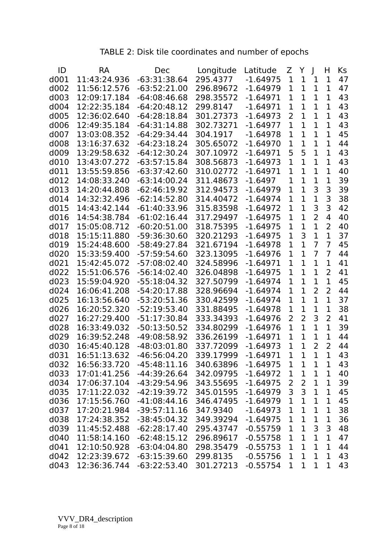# TABLE 2: Disk tile coordinates and number of epochs

| ID               | <b>RA</b>    | Dec            | Longitude | Latitude   | Z              | Y              | $\mathbf{I}$   | H              | Ks |
|------------------|--------------|----------------|-----------|------------|----------------|----------------|----------------|----------------|----|
| d001             | 11:43:24.936 | $-63:31:38.64$ | 295.4377  | $-1.64975$ | $\mathbf 1$    | $\mathbf{1}$   | 1              | $\mathbf 1$    | 47 |
| d002             | 11:56:12.576 | $-63:52:21.00$ | 296.89672 | $-1.64979$ | 1              | $\mathbf{1}$   | 1              | 1              | 47 |
| d003             | 12:09:17.184 | $-64:08:46.68$ | 298.35572 | $-1.64971$ | $\mathbf{1}$   | $\mathbf{1}$   | 1              | $\mathbf{1}$   | 43 |
| d004             | 12:22:35.184 | $-64:20:48.12$ | 299.8147  | $-1.64971$ | 1              | $\mathbf{1}$   | $\mathbf{1}$   | $\mathbf{1}$   | 43 |
| d <sub>005</sub> | 12:36:02.640 | $-64:28:18.84$ | 301.27373 | $-1.64973$ | 2              | $\mathbf{1}$   | 1              | 1              | 43 |
| d006             | 12:49:35.184 | $-64:31:14.88$ | 302.73271 | $-1.64977$ | $\mathbf{1}$   | $\mathbf{1}$   | 1              | $\mathbf 1$    | 43 |
| d007             | 13:03:08.352 | $-64:29:34.44$ | 304.1917  | $-1.64978$ | 1              | $\mathbf{1}$   | 1              | $\mathbf 1$    | 45 |
| d008             | 13:16:37.632 | $-64:23:18.24$ | 305.65072 | $-1.64970$ | 1              | $\mathbf{1}$   | 1              | $\mathbf 1$    | 44 |
| d009             | 13:29:58.632 | $-64:12:30.24$ | 307.10972 | $-1.64971$ | 5              | 5              | $\overline{1}$ | $\overline{1}$ | 43 |
| d010             | 13:43:07.272 | $-63:57:15.84$ | 308.56873 | $-1.64973$ | 1              | $\mathbf{1}$   | 1              | $\mathbf{1}$   | 43 |
| d011             | 13:55:59.856 | $-63:37:42.60$ | 310.02772 | $-1.64971$ | 1              | $\mathbf{1}$   | 1              | 1              | 40 |
| d012             | 14:08:33.240 | $-63:14:00.24$ | 311.48673 | $-1.6497$  | $\mathbf{1}$   | $\mathbf{1}$   | 1              | $\mathbf 1$    | 39 |
| d013             | 14:20:44.808 | $-62:46:19.92$ | 312.94573 | $-1.64979$ | $\mathbf{1}$   | $\mathbf{1}$   | 3              | 3              | 39 |
| d014             | 14:32:32.496 | $-62:14:52.80$ | 314.40472 | $-1.64974$ | 1              | $\mathbf{1}$   | $\overline{1}$ | 3              | 38 |
| d015             | 14:43:42.144 | $-61:40:33.96$ | 315.83598 | $-1.64972$ | $\mathbf{1}$   | $\overline{1}$ | 3              | 3              | 42 |
| d016             | 14:54:38.784 | $-61:02:16.44$ | 317.29497 | $-1.64975$ | $\mathbf{1}$   | $\mathbf{1}$   | $\overline{2}$ | 4              | 40 |
| d017             | 15:05:08.712 | $-60:20:51.00$ | 318.75395 | $-1.64975$ | 1              | $\mathbf{1}$   | 1              | 2              | 40 |
| d018             | 15:15:11.880 | -59:36:30.60   | 320.21293 | $-1.64975$ | $\mathbf{1}$   | 3              | $\overline{1}$ | $\mathbf{1}$   | 37 |
| d019             | 15:24:48.600 | -58:49:27.84   | 321.67194 | $-1.64978$ | 1              | $\mathbf{1}$   | $\overline{7}$ | $\overline{7}$ | 45 |
| d020             | 15:33:59.400 | -57:59:54.60   | 323.13095 | $-1.64976$ | 1              | $\mathbf{1}$   | 7              | $\overline{7}$ | 44 |
| d021             | 15:42:45.072 | $-57:08:02.40$ | 324.58996 | $-1.64971$ | 1              | $\mathbf{1}$   | $\overline{1}$ | $\mathbf 1$    | 41 |
| d022             | 15:51:06.576 | $-56:14:02.40$ | 326.04898 | $-1.64975$ | 1              | $\mathbf{1}$   | 1              | 2              | 41 |
| d023             | 15:59:04.920 | $-55:18:04.32$ | 327.50799 | $-1.64974$ | 1              | $\mathbf{1}$   | 1              | $\mathbf 1$    | 45 |
| d024             | 16:06:41.208 | $-54:20:17.88$ | 328.96694 | $-1.64974$ | $\mathbf 1$    | $\overline{1}$ | $\overline{2}$ | $\overline{2}$ | 44 |
| d025             | 16:13:56.640 | $-53:20:51.36$ | 330.42599 | $-1.64974$ | 1              | $\mathbf{1}$   | $\overline{1}$ | $\mathbf 1$    | 37 |
| d026             | 16:20:52.320 | $-52:19:53.40$ | 331.88495 | $-1.64978$ | 1              | $\overline{1}$ | $\overline{1}$ | $\mathbf 1$    | 38 |
| d027             | 16:27:29.400 | $-51:17:30.84$ | 333.34393 | $-1.64976$ | $\overline{2}$ | $\overline{2}$ | 3              | $\overline{2}$ | 41 |
| d028             | 16:33:49.032 | $-50:13:50.52$ | 334.80299 | $-1.64976$ | $\mathbf 1$    | $\mathbf{1}$   | $\overline{1}$ | $\mathbf{1}$   | 39 |
| d029             | 16:39:52.248 | $-49:08:58.92$ | 336.26199 | $-1.64971$ | 1              | $\mathbf{1}$   | 1              | $\mathbf 1$    | 44 |
| d030             | 16:45:40.128 | $-48:03:01.80$ | 337.72099 | $-1.64973$ | $\mathbf{1}$   | $\mathbf{1}$   | $\overline{2}$ | $\overline{2}$ | 44 |
| d031             | 16:51:13.632 | $-46:56:04.20$ | 339.17999 | $-1.64971$ | 1              | 1              | 1              | 1              | 43 |
| d032             | 16:56:33.720 | $-45:48:11.16$ | 340.63896 | $-1.64975$ | 1              | 1              | 1              | 1              | 43 |
| d033             | 17:01:41.256 | $-44:39:26.64$ | 342.09795 | $-1.64972$ | $\mathbf 1$    | $\mathbf 1$    | 1              | $\mathbf 1$    | 40 |
| d034             | 17:06:37.104 | -43:29:54.96   | 343.55695 | $-1.64975$ | $\overline{2}$ | $\overline{2}$ | 1              | 1              | 39 |
| d035             | 17:11:22.032 | $-42:19:39.72$ | 345.01595 | $-1.64979$ | 3              | 3              | 1              | $\mathbf 1$    | 45 |
| d036             | 17:15:56.760 | $-41:08:44.16$ | 346.47495 | $-1.64979$ | $\mathbf 1$    | $\mathbf 1$    | $\overline{1}$ | $\mathbf 1$    | 45 |
| d037             | 17:20:21.984 | $-39:57:11.16$ | 347.9340  | $-1.64973$ | 1              | 1              | 1              | 1              | 38 |
| d038             | 17:24:38.352 | $-38:45:04.32$ | 349.39294 | $-1.64975$ | $\mathbf 1$    | $\mathbf 1$    | $\mathbf 1$    | 1              | 36 |
| d039             | 11:45:52.488 | $-62:28:17.40$ | 295.43747 | $-0.55759$ | $\mathbf 1$    | $\mathbf 1$    | 3              | 3              | 48 |
| d040             | 11:58:14.160 | $-62:48:15.12$ | 296.89617 | $-0.55758$ | 1              | $\mathbf 1$    | 1              | 1              | 47 |
| d041             | 12:10:50.928 | $-63:04:04.80$ | 298.35479 | $-0.55753$ | $\mathbf 1$    | $\mathbf{1}$   | $\mathbf 1$    | $\mathbf 1$    | 44 |
| d042             | 12:23:39.672 | $-63:15:39.60$ | 299.8135  | $-0.55756$ | $\mathbf 1$    | $\mathbf{1}$   | $\overline{1}$ | $\mathbf{1}$   | 43 |
| d043             | 12:36:36.744 | $-63:22:53.40$ | 301.27213 | $-0.55754$ | 1              | 1              | 1              | 1              | 43 |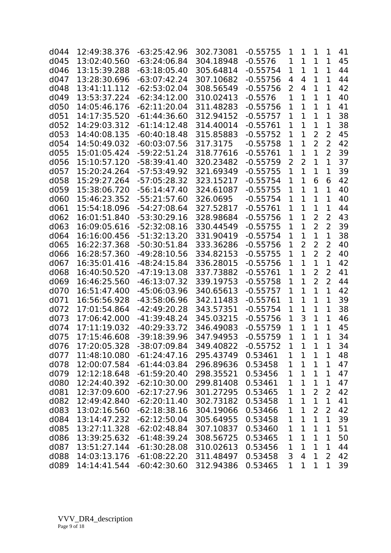| d044 | 12:49:38.376 | -63:25:42.96   | 302.73081 | $-0.55755$ | 1              | 1              | 1              | 1              | 41 |
|------|--------------|----------------|-----------|------------|----------------|----------------|----------------|----------------|----|
| d045 | 13:02:40.560 | $-63:24:06.84$ | 304.18948 | $-0.5576$  | $\mathbf 1$    | $\mathbf 1$    | 1              | 1              | 45 |
| d046 | 13:15:39.288 | $-63:18:05.40$ | 305.64814 | $-0.55754$ | 1              | $\mathbf 1$    | 1              | $\mathbf 1$    | 44 |
| d047 | 13:28:30.696 | $-63:07:42.24$ | 307.10682 | $-0.55756$ | 4              | 4              | $\mathbf{1}$   | $\mathbf{1}$   | 44 |
| d048 | 13:41:11.112 | $-62:53:02.04$ | 308.56549 | $-0.55756$ | 2              | 4              | $\mathbf{1}$   | $\mathbf 1$    | 42 |
| d049 | 13:53:37.224 | $-62:34:12.00$ | 310.02413 | $-0.5576$  | $\overline{1}$ | $\mathbf{1}$   | $\mathbf{1}$   | $\mathbf{1}$   | 40 |
| d050 | 14:05:46.176 | $-62:11:20.04$ | 311.48283 | $-0.55756$ | 1              | $\mathbf{1}$   | $\overline{1}$ | $\mathbf{1}$   | 41 |
| d051 | 14:17:35.520 | $-61:44:36.60$ | 312.94152 | $-0.55757$ | 1              | $\mathbf{1}$   | 1              | $\mathbf 1$    | 38 |
| d052 | 14:29:03.312 | $-61:14:12.48$ | 314.40014 | $-0.55761$ | 1              | $\mathbf{1}$   | 1              | $\mathbf 1$    | 38 |
| d053 | 14:40:08.135 | $-60:40:18.48$ | 315.85883 | $-0.55752$ | 1              | $\overline{1}$ | $\overline{2}$ | 2              | 45 |
| d054 | 14:50:49.032 | $-60:03:07.56$ | 317.3175  | $-0.55758$ | $\mathbf 1$    | $\mathbf{1}$   | $\overline{2}$ | 2              | 42 |
| d055 | 15:01:05.424 | $-59:22:51.24$ | 318.77616 | $-0.55761$ | $\overline{1}$ | $\mathbf{1}$   | $\overline{1}$ | $\overline{2}$ | 39 |
| d056 | 15:10:57.120 | $-58:39:41.40$ | 320.23482 | $-0.55759$ | 2              | $\overline{2}$ | $\overline{1}$ | $\mathbf{1}$   | 37 |
| d057 | 15:20:24.264 | $-57:53:49.92$ | 321.69349 | $-0.55755$ | 1              | $\mathbf{1}$   | 1              | $\mathbf 1$    | 39 |
| d058 | 15:29:27.264 | $-57:05:28.32$ | 323.15217 | $-0.55754$ | 1              | $\mathbf{1}$   | 6              | 6              | 42 |
| d059 | 15:38:06.720 | $-56:14:47.40$ | 324.61087 | $-0.55755$ | 1              | $\mathbf{1}$   | 1              | $\mathbf{1}$   | 40 |
| d060 | 15:46:23.352 | $-55:21:57.60$ | 326.0695  | $-0.55754$ | 1              | $\mathbf{1}$   | 1              | $\mathbf 1$    | 40 |
| d061 | 15:54:18.096 | $-54:27:08.64$ | 327.52817 | $-0.55761$ | 1              | $\mathbf{1}$   | 1              | $\mathbf{1}$   | 44 |
| d062 | 16:01:51.840 | $-53:30:29.16$ | 328.98684 | $-0.55756$ | 1              | $\mathbf{1}$   | $\overline{2}$ | $\overline{2}$ | 43 |
| d063 | 16:09:05.616 | $-52:32:08.16$ | 330.44549 | $-0.55755$ | $\mathbf 1$    | $\mathbf{1}$   | $\overline{2}$ | 2              | 39 |
| d064 | 16:16:00.456 | $-51:32:13.20$ | 331.90419 | $-0.55754$ | 1              | $\mathbf{1}$   | $\overline{1}$ | $\mathbf{1}$   | 38 |
| d065 | 16:22:37.368 | $-50:30:51.84$ | 333.36286 | $-0.55756$ | 1              | $\overline{2}$ | $\overline{2}$ | $\overline{2}$ | 40 |
| d066 | 16:28:57.360 | $-49:28:10.56$ | 334.82153 | $-0.55755$ | 1              | $\mathbf{1}$   | $\overline{2}$ | $\overline{2}$ | 40 |
| d067 | 16:35:01.416 | $-48:24:15.84$ | 336.28015 | $-0.55756$ | 1              | $\mathbf{1}$   | $\overline{1}$ | $\mathbf{1}$   | 42 |
| d068 | 16:40:50.520 | $-47:19:13.08$ | 337.73882 | $-0.55761$ | 1              | $\mathbf{1}$   | $\overline{2}$ | 2              | 41 |
| d069 | 16:46:25.560 | $-46:13:07.32$ | 339.19753 | $-0.55758$ | 1              | $\mathbf{1}$   | 2              | 2              | 44 |
| d070 | 16:51:47.400 | $-45:06:03.96$ | 340.65613 | $-0.55757$ | 1              | $\mathbf{1}$   | $\overline{1}$ | $\mathbf{1}$   | 42 |
| d071 | 16:56:56.928 | -43:58:06.96   | 342.11483 | $-0.55761$ | 1              | $\mathbf{1}$   | $\overline{1}$ | $\mathbf{1}$   | 39 |
| d072 | 17:01:54.864 | $-42:49:20.28$ | 343.57351 | $-0.55754$ | 1              | $\mathbf{1}$   | $\mathbf{1}$   | $\mathbf{1}$   | 38 |
| d073 | 17:06:42.000 | $-41:39:48.24$ | 345.03215 | $-0.55756$ | $\overline{1}$ | 3              | $\mathbf{1}$   | $\mathbf{1}$   | 46 |
| d074 | 17:11:19.032 | -40:29:33.72   | 346.49083 | $-0.55759$ | 1              | $\mathbf{1}$   | $\overline{1}$ | $\mathbf{1}$   | 45 |
| d075 | 17:15:46.608 | $-39:18:39.96$ | 347.94953 | $-0.55759$ | 1              | 1              | 1              | 1              | 34 |
| d076 | 17:20:05.328 | -38:07:09.84   | 349.40822 | $-0.55752$ | 1              | $\mathbf 1$    | 1              | $\mathbf 1$    | 34 |
| d077 | 11:48:10.080 | $-61:24:47.16$ | 295.43749 | 0.53461    | 1              | $\mathbf 1$    | 1              | 1              | 48 |
| d078 | 12:00:07.584 | $-61:44:03.84$ | 296.89636 | 0.53458    | $\mathbf 1$    | $\mathbf 1$    | $\mathbf 1$    | $\mathbf 1$    | 47 |
| d079 | 12:12:18.648 | $-61:59:20.40$ | 298.35521 | 0.53456    | $\mathbf 1$    | $\mathbf 1$    | $\mathbf{1}$   | 1              | 47 |
| d080 | 12:24:40.392 | $-62:10:30.00$ | 299.81408 | 0.53461    | $\mathbf 1$    | $\mathbf 1$    | $\overline{1}$ | 1              | 47 |
| d081 | 12:37:09.600 | $-62:17:27.96$ | 301.27295 | 0.53465    | $\mathbf 1$    | $\mathbf 1$    | 2              | 2              | 42 |
| d082 | 12:49:42.840 | $-62:20:11.40$ | 302.73182 | 0.53458    | $\mathbf 1$    | $\mathbf 1$    | $\mathbf{1}$   | $\mathbf 1$    | 41 |
| d083 | 13:02:16.560 | $-62:18:38.16$ | 304.19066 | 0.53466    | $\mathbf 1$    | $\mathbf 1$    | $\overline{2}$ | 2              | 42 |
| d084 | 13:14:47.232 | $-62:12:50.04$ | 305.64955 | 0.53458    | $\mathbf 1$    | $\mathbf 1$    | $\mathbf 1$    | 1              | 39 |
| d085 | 13:27:11.328 | $-62:02:48.84$ | 307.10837 | 0.53460    | $\mathbf 1$    | $\mathbf 1$    | $\mathbf 1$    | 1              | 51 |
| d086 | 13:39:25.632 | $-61:48:39.24$ | 308.56725 | 0.53465    | $\mathbf 1$    | $\mathbf{1}$   | $\mathbf{1}$   | $\mathbf 1$    | 50 |
| d087 | 13:51:27.144 | $-61:30:28.08$ | 310.02613 | 0.53456    | 1              | $\mathbf{1}$   | $\mathbf{1}$   | $\mathbf{1}$   | 44 |
| d088 | 14:03:13.176 | $-61:08:22.20$ | 311.48497 | 0.53458    | 3              | $\overline{4}$ | $\mathbf{1}$   | $\overline{2}$ | 42 |
| d089 | 14:14:41.544 | $-60:42:30.60$ | 312.94386 | 0.53465    | 1              | $\mathbf 1$    | $\mathbf{1}$   | 1              | 39 |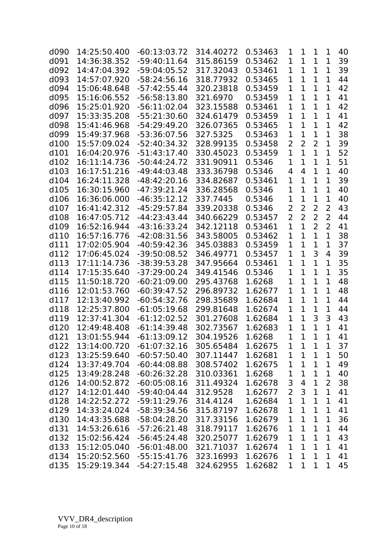| d090 | 14:25:50.400 | $-60:13:03.72$ | 314.40272 | 0.53463 | 1              | $\mathbf{1}$   | 1              | 1              | 40 |
|------|--------------|----------------|-----------|---------|----------------|----------------|----------------|----------------|----|
| d091 | 14:36:38.352 | $-59:40:11.64$ | 315.86159 | 0.53462 | 1              | $\mathbf{1}$   | $\mathbf{1}$   | 1              | 39 |
| d092 | 14:47:04.392 | $-59:04:05.52$ | 317.32043 | 0.53461 | 1              | $\mathbf{1}$   | 1              | $\mathbf{1}$   | 39 |
| d093 | 14:57:07.920 | $-58:24:56.16$ | 318.77932 | 0.53465 | 1              | $\mathbf{1}$   | 1              | 1              | 44 |
| d094 | 15:06:48.648 | $-57:42:55.44$ | 320.23818 | 0.53459 | $\overline{1}$ | $\mathbf{1}$   | $\mathbf{1}$   | $\mathbf{1}$   | 42 |
| d095 | 15:16:06.552 | $-56:58:13.80$ | 321.6970  | 0.53459 | 1              | $\mathbf{1}$   | $\mathbf{1}$   | $\mathbf{1}$   | 41 |
| d096 | 15:25:01.920 | $-56:11:02.04$ | 323.15588 | 0.53461 | 1              | $\mathbf{1}$   | 1              | $\mathbf{1}$   | 42 |
| d097 | 15:33:35.208 | $-55:21:30.60$ | 324.61479 | 0.53459 | 1              | $\mathbf{1}$   | $\mathbf{1}$   | $\mathbf{1}$   | 41 |
| d098 | 15:41:46.968 | $-54:29:49.20$ | 326.07365 | 0.53465 | $\mathbf 1$    | $\mathbf{1}$   | $\mathbf{1}$   | $\mathbf{1}$   | 42 |
| d099 | 15:49:37.968 | -53:36:07.56   | 327.5325  | 0.53463 | 1              | $\mathbf 1$    | 1              | $\mathbf 1$    | 38 |
| d100 | 15:57:09.024 | -52:40:34.32   | 328.99135 | 0.53458 | $\overline{2}$ | $\overline{2}$ | $\overline{2}$ | $\mathbf{1}$   | 39 |
| d101 | 16:04:20.976 | $-51:43:17.40$ | 330.45023 | 0.53459 | $\mathbf{1}$   | $\overline{1}$ | $\overline{1}$ | $\mathbf{1}$   | 52 |
| d102 | 16:11:14.736 | $-50:44:24.72$ | 331.90911 | 0.5346  | 1              | $\mathbf{1}$   | $\mathbf{1}$   | $\mathbf{1}$   | 51 |
| d103 | 16:17:51.216 | $-49:44:03.48$ | 333.36798 | 0.5346  | 4              | 4              | $\mathbf{1}$   | $\mathbf{1}$   | 40 |
| d104 | 16:24:11.328 | $-48:42:20.16$ | 334.82687 | 0.53461 | $\mathbf 1$    | $\mathbf{1}$   | $\mathbf{1}$   | $\mathbf{1}$   | 39 |
| d105 | 16:30:15.960 | $-47:39:21.24$ | 336.28568 | 0.5346  | 1              | $\mathbf{1}$   | $\mathbf{1}$   | $\mathbf{1}$   | 40 |
| d106 | 16:36:06.000 | $-46:35:12.12$ | 337.7445  | 0.5346  | 1              | $\mathbf{1}$   | $\mathbf{1}$   | 1              | 40 |
| d107 | 16:41:42.312 | $-45:29:57.84$ | 339.20338 | 0.5346  | $\overline{2}$ | $\overline{2}$ | 2              | $\overline{2}$ | 43 |
| d108 | 16:47:05.712 | $-44:23:43.44$ | 340.66229 | 0.53457 | $\overline{2}$ | $\overline{2}$ | $\overline{2}$ | $\overline{2}$ | 44 |
| d109 | 16:52:16.944 | $-43:16:33.24$ | 342.12118 | 0.53461 | $\mathbf{1}$   | $\mathbf{1}$   | $\overline{2}$ | 2              | 41 |
| d110 | 16:57:16.776 | $-42:08:31.56$ | 343.58005 | 0.53462 | $\mathbf{1}$   | $\mathbf{1}$   | $\overline{1}$ | $\mathbf{1}$   | 38 |
| d111 | 17:02:05.904 | $-40:59:42.36$ | 345.03883 | 0.53459 | 1              | $\overline{1}$ | 1              | $\mathbf{1}$   | 37 |
| d112 | 17:06:45.024 | -39:50:08.52   | 346.49771 | 0.53457 | 1              | $\mathbf{1}$   | 3              | 4              | 39 |
| d113 | 17:11:14.736 | $-38:39:53.28$ | 347.95664 | 0.53461 | $\mathbf 1$    | $\mathbf{1}$   | $\mathbf{1}$   | $\mathbf{1}$   | 35 |
| d114 | 17:15:35.640 | $-37:29:00.24$ | 349.41546 | 0.5346  | 1              | $\mathbf{1}$   | $\mathbf{1}$   | 1              | 35 |
| d115 | 11:50:18.720 | $-60:21:09.00$ | 295.43768 | 1.6268  | 1              | $\mathbf{1}$   | 1              | 1              | 48 |
| d116 | 12:01:53.760 | $-60:39:47.52$ | 296.89732 | 1.62677 | 1              | $\mathbf{1}$   | $\overline{1}$ | $\mathbf{1}$   | 48 |
| d117 | 12:13:40.992 | $-60:54:32.76$ | 298.35689 | 1.62684 | 1              | $\mathbf{1}$   | 1              | $\mathbf{1}$   | 44 |
| d118 | 12:25:37.800 | $-61:05:19.68$ | 299.81648 | 1.62674 | 1              | $\mathbf{1}$   | $\mathbf{1}$   | $\mathbf{1}$   | 44 |
| d119 | 12:37:41.304 | $-61:12:02.52$ | 301.27608 | 1.62684 | $\mathbf 1$    | $\mathbf{1}$   | 3              | 3              | 43 |
| d120 | 12:49:48.408 | $-61:14:39.48$ | 302.73567 | 1.62683 | 1              | $\mathbf{1}$   | $\mathbf{1}$   | $\mathbf{1}$   | 41 |
| d121 | 13:01:55.944 | $-61:13:09.12$ | 304.19526 | 1.6268  | 1              | 1              | 1              | $\mathbf{1}$   | 41 |
| d122 | 13:14:00.720 | $-61:07:32.16$ | 305.65484 | 1.62675 | 1              | $\mathbf{1}$   | 1              | $\mathbf 1$    | 37 |
| d123 | 13:25:59.640 | $-60:57:50.40$ | 307.11447 | 1.62681 | 1              | 1              | 1              | 1              | 50 |
| d124 | 13:37:49.704 | $-60:44:08.88$ | 308.57402 | 1.62675 | 1              | $\mathbf 1$    | $\mathbf{1}$   | $\mathbf 1$    | 49 |
| d125 | 13:49:28.248 | $-60:26:32.28$ | 310.03361 | 1.6268  | $\mathbf 1$    | $\mathbf 1$    | $\mathbf 1$    | $\mathbf 1$    | 40 |
| d126 | 14:00:52.872 | $-60:05:08.16$ | 311.49324 | 1.62678 | 3              | 4              | $\mathbf 1$    | 2              | 38 |
| d127 | 14:12:01.440 | $-59:40:04.44$ | 312.9528  | 1.62677 | $\overline{2}$ | $\mathsf 3$    | $\mathbf 1$    | 1              | 41 |
| d128 | 14:22:52.272 | $-59:11:29.76$ | 314.4124  | 1.62684 | $\mathbf 1$    | $\mathbf{1}$   | $\mathbf{1}$   | $\mathbf 1$    | 41 |
| d129 | 14:33:24.024 | -58:39:34.56   | 315.87197 | 1.62678 | 1              | $\mathbf 1$    | $\mathbf 1$    | 1              | 41 |
| d130 | 14:43:35.688 | $-58:04:28.20$ | 317.33156 | 1.62679 | $\mathbf 1$    | $\mathbf 1$    | $\mathbf{1}$   | 1              | 36 |
| d131 | 14:53:26.616 | $-57:26:21.48$ | 318.79117 | 1.62676 | $\mathbf 1$    | $\mathbf 1$    | $\mathbf 1$    | $\mathbf 1$    | 44 |
| d132 | 15:02:56.424 | $-56:45:24.48$ | 320.25077 | 1.62679 | $\mathbf 1$    | $\mathbf 1$    | $\mathbf{1}$   | 1              | 43 |
| d133 | 15:12:05.040 | $-56:01:48.00$ | 321.71037 | 1.62674 | 1              | $\mathbf{1}$   | $\mathbf{1}$   | $\mathbf 1$    | 41 |
| d134 | 15:20:52.560 | $-55:15:41.76$ | 323.16993 | 1.62676 | $\mathbf 1$    | $\mathbf{1}$   | $\mathbf{1}$   | $\mathbf{1}$   | 41 |
| d135 | 15:29:19.344 | $-54:27:15.48$ | 324.62955 | 1.62682 | 1              | $\mathbf{1}$   | $\mathbf 1$    | 1              | 45 |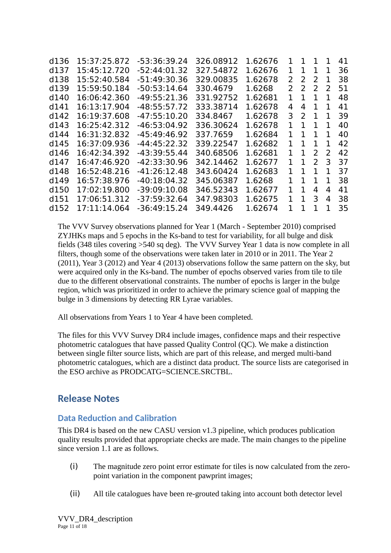| d136             | 15:37:25.872 | -53:36:39.24   | 326.08912 | 1.62676 | 1             | 1             | ı             | ı.            | 41 |
|------------------|--------------|----------------|-----------|---------|---------------|---------------|---------------|---------------|----|
| d137             | 15:45:12.720 | $-52:44:01.32$ | 327.54872 | 1.62676 | 1             | 1             | 1             | 1             | 36 |
| d138             | 15:52:40.584 | $-51:49:30.36$ | 329.00835 | 1.62678 | 2             | $\mathcal{L}$ | 2             | 1             | 38 |
| d139             | 15:59:50.184 | $-50:53:14.64$ | 330.4679  | 1.6268  | $\mathcal{P}$ | $\mathcal{L}$ | $\mathcal{L}$ | $\mathcal{L}$ | 51 |
| d140             | 16:06:42.360 | $-49:55:21.36$ | 331.92752 | 1.62681 | 1             | 1             |               |               | 48 |
| d141             | 16:13:17.904 | $-48:55:57.72$ | 333.38714 | 1.62678 | 4             | 4             | 1             | 1             | 41 |
| d142             | 16:19:37.608 | $-47:55:10.20$ | 334.8467  | 1.62678 | 3             | 2             | 1             |               | 39 |
| d143             | 16:25:42.312 | $-46:53:04.92$ | 336.30624 | 1.62678 | 1             |               |               |               | 40 |
| d144             | 16:31:32.832 | $-45:49:46.92$ | 337.7659  | 1.62684 | 1             | 1             | 1             |               | 40 |
| d145             | 16:37:09.936 | $-44:45:22.32$ | 339.22547 | 1.62682 | 1             | 1             |               |               | 42 |
| d146             | 16:42:34.392 | -43:39:55.44   | 340.68506 | 1.62681 | 1             | 1             | 2             | $\mathcal{L}$ | 42 |
| d147             | 16:47:46.920 | $-42:33:30.96$ | 342.14462 | 1.62677 | 1             | 1             | $\mathcal{P}$ | 3             | 37 |
| d148             | 16:52:48.216 | $-41:26:12.48$ | 343.60424 | 1.62683 | 1             | 1             |               |               | 37 |
| d149             | 16:57:38.976 | $-40:18:04.32$ | 345.06387 | 1.6268  | 1             | ı             | 1             |               | 38 |
| d <sub>150</sub> | 17:02:19.800 | $-39:09:10.08$ | 346.52343 | 1.62677 | 1.            | 1             | 4             | 4             | 41 |
| d151             | 17:06:51.312 | $-37:59:32.64$ | 347.98303 | 1.62675 | 1             | 1             | 3             | 4             | 38 |
| d152             | 17:11:14.064 | $-36:49:15.24$ | 349.4426  | 1.62674 | 1             | 1             | 1             |               | 35 |
|                  |              |                |           |         |               |               |               |               |    |

The VVV Survey observations planned for Year 1 (March - September 2010) comprised ZYJHKs maps and 5 epochs in the Ks-band to test for variability, for all bulge and disk fields (348 tiles covering >540 sq deg). The VVV Survey Year 1 data is now complete in all filters, though some of the observations were taken later in 2010 or in 2011. The Year 2 (2011), Year 3 (2012) and Year 4 (2013) observations follow the same pattern on the sky, but were acquired only in the Ks-band. The number of epochs observed varies from tile to tile due to the different observational constraints. The number of epochs is larger in the bulge region, which was prioritized in order to achieve the primary science goal of mapping the bulge in 3 dimensions by detecting RR Lyrae variables.

All observations from Years 1 to Year 4 have been completed.

The files for this VVV Survey DR4 include images, confidence maps and their respective photometric catalogues that have passed Quality Control (QC). We make a distinction between single filter source lists, which are part of this release, and merged multi-band photometric catalogues, which are a distinct data product. The source lists are categorised in the ESO archive as PRODCATG=SCIENCE, SRCTBL.

## **Release Notes**

### **Data Reduction and Calibration**

This DR4 is based on the new CASU version v1.3 pipeline, which produces publication quality results provided that appropriate checks are made. The main changes to the pipeline since version 1.1 are as follows.

- $(i)$ The magnitude zero point error estimate for tiles is now calculated from the zeropoint variation in the component pawprint images;
- $(ii)$ All tile catalogues have been re-grouted taking into account both detector level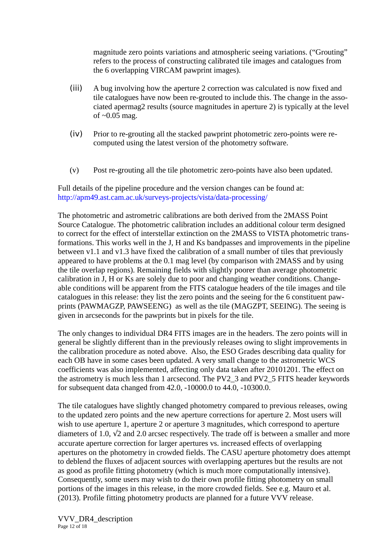magnitude zero points variations and atmospheric seeing variations. ("Grouting" refers to the process of constructing calibrated tile images and catalogues from the 6 overlapping VIRCAM pawprint images).

- (iii) A bug involving how the aperture 2 correction was calculated is now fixed and tile catalogues have now been re-grouted to include this. The change in the associated apermag2 results (source magnitudes in aperture 2) is typically at the level of  $\sim$ 0.05 mag.
- (iv) Prior to re-grouting all the stacked pawprint photometric zero-points were recomputed using the latest version of the photometry software.
- (v) Post re-grouting all the tile photometric zero-points have also been updated.

Full details of the pipeline procedure and the version changes can be found at: http://apm49.ast.cam.ac.uk/surveys-projects/vista/data-processing/

The photometric and astrometric calibrations are both derived from the 2MASS Point Source Catalogue. The photometric calibration includes an additional colour term designed to correct for the effect of interstellar extinction on the 2MASS to VISTA photometric transformations. This works well in the J, H and Ks bandpasses and improvements in the pipeline between v1.1 and v1.3 have fixed the calibration of a small number of tiles that previously appeared to have problems at the 0.1 mag level (by comparison with 2MASS and by using the tile overlap regions). Remaining fields with slightly poorer than average photometric calibration in J, H or Ks are solely due to poor and changing weather conditions. Changeable conditions will be apparent from the FITS catalogue headers of the tile images and tile catalogues in this release: they list the zero points and the seeing for the 6 constituent pawprints (PAWMAGZP, PAWSEENG) as well as the tile (MAGZPT, SEEING). The seeing is given in arcseconds for the pawprints but in pixels for the tile.

The only changes to individual DR4 FITS images are in the headers. The zero points will in general be slightly different than in the previously releases owing to slight improvements in the calibration procedure as noted above. Also, the ESO Grades describing data quality for each OB have in some cases been updated. A very small change to the astrometric WCS coefficients was also implemented, affecting only data taken after 20101201. The effect on the astrometry is much less than 1 arcsecond. The PV2\_3 and PV2\_5 FITS header keywords for subsequent data changed from 42.0, -10000.0 to 44.0, -10300.0.

The tile catalogues have slightly changed photometry compared to previous releases, owing to the updated zero points and the new aperture corrections for aperture 2. Most users will wish to use aperture 1, aperture 2 or aperture 3 magnitudes, which correspond to aperture diameters of 1.0,  $\sqrt{2}$  and 2.0 arcsec respectively. The trade off is between a smaller and more accurate aperture correction for larger apertures vs. increased effects of overlapping apertures on the photometry in crowded fields. The CASU aperture photometry does attempt to deblend the fluxes of adjacent sources with overlapping apertures but the results are not as good as profile fitting photometry (which is much more computationally intensive). Consequently, some users may wish to do their own profile fitting photometry on small portions of the images in this release, in the more crowded fields. See e.g. Mauro et al. (2013). Profile fitting photometry products are planned for a future VVV release.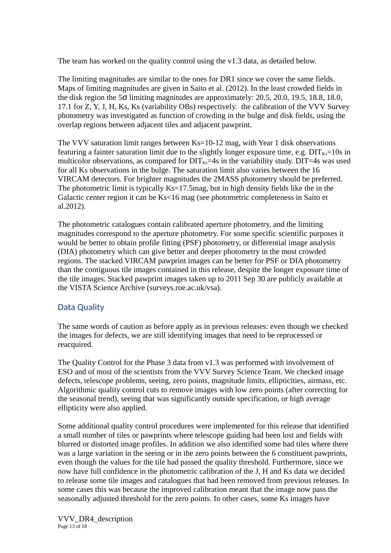The team has worked on the quality control using the v1.3 data, as detailed below.

The limiting magnitudes are similar to the ones for DR1 since we cover the same fields. Maps of limiting magnitudes are given in Saito et al. (2012). In the least crowded fields in the disk region the 5σ limiting magnitudes are approximately: 20.5, 20.0, 19.5, 18.8, 18.0, 17.1 for Z, Y, J, H, Ks, Ks (variability OBs) respectively. the calibration of the VVV Survey photometry was investigated as function of crowding in the bulge and disk fields, using the overlap regions between adjacent tiles and adjacent pawprint.

The VVV saturation limit ranges between Ks=10-12 mag, with Year 1 disk observations featuring a fainter saturation limit due to the slightly longer exposure time, e.g.  $\text{DIT}_{\text{Ks}}=10$ s in multicolor observations, as compared for  $\text{DIT}_{Ks}=4s$  in the variability study.  $\text{DIT}=4s$  was used for all Ks observations in the bulge. The saturation limit also varies between the 16 VIRCAM detectors. For brighter magnitudes the 2MASS photometry should be preferred. The photometric limit is typically Ks=17.5mag, but in high density fields like the in the Galactic center region it can be Ks<16 mag (see photometric completeness in Saito et al.2012).

The photometric catalogues contain calibrated aperture photometry, and the limiting magnitudes correspond to the aperture photometry. For some specific scientific purposes it would be better to obtain profile fitting (PSF) photometry, or differential image analysis (DIA) photometry which can give better and deeper photometry in the most crowded regions. The stacked VIRCAM pawprint images can be better for PSF or DIA photometry than the contiguous tile images contained in this release, despite the longer exposure time of the tile images. Stacked pawprint images taken up to 2011 Sep 30 are publicly available at the VISTA Science Archive (surveys.roe.ac.uk/vsa).

#### Data Quality

The same words of caution as before apply as in previous releases: even though we checked the images for defects, we are still identifying images that need to be reprocessed or reacquired.

The Quality Control for the Phase 3 data from v1.3 was performed with involvement of ESO and of most of the scientists from the VVV Survey Science Team. We checked image defects, telescope problems, seeing, zero points, magnitude limits, ellipticities, airmass, etc. Algorithmic quality control cuts to remove images with low zero points (after correcting for the seasonal trend), seeing that was significantly outside specification, or high average ellipticity were also applied.

Some additional quality control procedures were implemented for this release that identified a small number of tiles or pawprints where telescope guiding had been lost and fields with blurred or distorted image profiles. In addition we also identified some bad tiles where there was a large variation in the seeing or in the zero points between the 6 constituent pawprints, even though the values for the tile had passed the quality threshold. Furthermore, since we now have full confidence in the photometric calibration of the J, H and Ks data we decided to release some tile images and catalogues that had been removed from previous releases. In some cases this was because the improved calibration meant that the image now pass the seasonally adjusted threshold for the zero points. In other cases, some Ks images have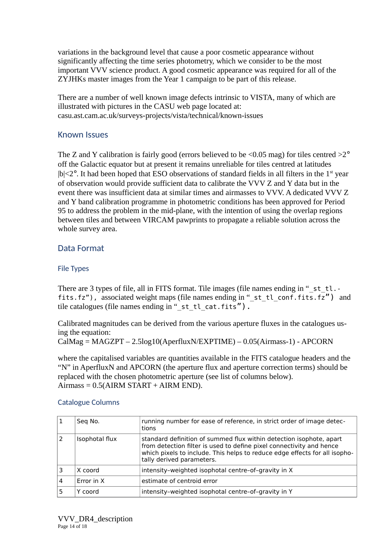variations in the background level that cause a poor cosmetic appearance without significantly affecting the time series photometry, which we consider to be the most important VVV science product. A good cosmetic appearance was required for all of the ZYJHKs master images from the Year 1 campaign to be part of this release.

There are a number of well known image defects intrinsic to VISTA, many of which are illustrated with pictures in the CASU web page located at: casu.ast.cam.ac.uk/surveys-projects/vista/technical/known-issues

#### Known Issues

The Z and Y calibration is fairly good (errors believed to be  $\leq 0.05$  mag) for tiles centred  $>2^{\circ}$ off the Galactic equator but at present it remains unreliable for tiles centred at latitudes  $|b|$  <2°. It had been hoped that ESO observations of standard fields in all filters in the 1<sup>st</sup> year of observation would provide sufficient data to calibrate the VVV Z and Y data but in the event there was insufficient data at similar times and airmasses to VVV. A dedicated VVV Z and Y band calibration programme in photometric conditions has been approved for Period 95 to address the problem in the mid-plane, with the intention of using the overlap regions between tiles and between VIRCAM pawprints to propagate a reliable solution across the whole survey area.

#### Data Format

#### File Types

There are 3 types of file, all in FITS format. Tile images (file names ending in "\_st\_tl.fits.fz"), associated weight maps (file names ending in "\_st\_tl\_conf.fits.fz") and tile catalogues (file names ending in " st\_tl\_cat.fits").

Calibrated magnitudes can be derived from the various aperture fluxes in the catalogues using the equation:

```
CalMag = MAGZPT – 2.5log10(AperfluxN/EXPTIME) – 0.05(Airmass-1) - APCORN
```
where the capitalised variables are quantities available in the FITS catalogue headers and the "N" in AperfluxN and APCORN (the aperture flux and aperture correction terms) should be replaced with the chosen photometric aperture (see list of columns below).  $Airmass = 0.5(AIRM START + AIRM END).$ 

|   | Seg No.        | running number for ease of reference, in strict order of image detec-<br>tions                                                                                                                                                                         |
|---|----------------|--------------------------------------------------------------------------------------------------------------------------------------------------------------------------------------------------------------------------------------------------------|
|   | Isophotal flux | standard definition of summed flux within detection isophote, apart<br>from detection filter is used to define pixel connectivity and hence<br>which pixels to include. This helps to reduce edge effects for all isopho-<br>tally derived parameters. |
|   | X coord        | intensity-weighted isophotal centre-of-gravity in X                                                                                                                                                                                                    |
| 4 | Error in X     | estimate of centroid error                                                                                                                                                                                                                             |
|   | Y coord        | intensity-weighted isophotal centre-of-gravity in Y                                                                                                                                                                                                    |

#### Catalogue Columns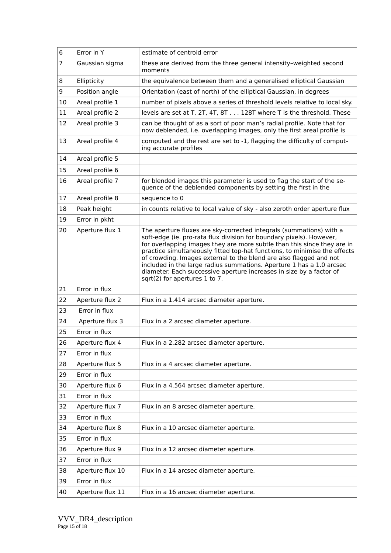| 6  | Error in Y       | estimate of centroid error                                                                                                                                                                                                                                                                                                                                                                                                                                                                                                                                |
|----|------------------|-----------------------------------------------------------------------------------------------------------------------------------------------------------------------------------------------------------------------------------------------------------------------------------------------------------------------------------------------------------------------------------------------------------------------------------------------------------------------------------------------------------------------------------------------------------|
| 7  | Gaussian sigma   | these are derived from the three general intensity-weighted second<br>moments                                                                                                                                                                                                                                                                                                                                                                                                                                                                             |
| 8  | Ellipticity      | the equivalence between them and a generalised elliptical Gaussian                                                                                                                                                                                                                                                                                                                                                                                                                                                                                        |
| 9  | Position angle   | Orientation (east of north) of the elliptical Gaussian, in degrees                                                                                                                                                                                                                                                                                                                                                                                                                                                                                        |
| 10 | Areal profile 1  | number of pixels above a series of threshold levels relative to local sky.                                                                                                                                                                                                                                                                                                                                                                                                                                                                                |
| 11 | Areal profile 2  | levels are set at T, 2T, 4T, 8T 128T where T is the threshold. These                                                                                                                                                                                                                                                                                                                                                                                                                                                                                      |
| 12 | Areal profile 3  | can be thought of as a sort of poor man's radial profile. Note that for<br>now deblended, i.e. overlapping images, only the first areal profile is                                                                                                                                                                                                                                                                                                                                                                                                        |
| 13 | Areal profile 4  | computed and the rest are set to -1, flagging the difficulty of comput-<br>ing accurate profiles                                                                                                                                                                                                                                                                                                                                                                                                                                                          |
| 14 | Areal profile 5  |                                                                                                                                                                                                                                                                                                                                                                                                                                                                                                                                                           |
| 15 | Areal profile 6  |                                                                                                                                                                                                                                                                                                                                                                                                                                                                                                                                                           |
| 16 | Areal profile 7  | for blended images this parameter is used to flag the start of the se-<br>quence of the deblended components by setting the first in the                                                                                                                                                                                                                                                                                                                                                                                                                  |
| 17 | Areal profile 8  | sequence to 0                                                                                                                                                                                                                                                                                                                                                                                                                                                                                                                                             |
| 18 | Peak height      | in counts relative to local value of sky - also zeroth order aperture flux                                                                                                                                                                                                                                                                                                                                                                                                                                                                                |
| 19 | Error in pkht    |                                                                                                                                                                                                                                                                                                                                                                                                                                                                                                                                                           |
| 20 | Aperture flux 1  | The aperture fluxes are sky-corrected integrals (summations) with a<br>soft-edge (ie. pro-rata flux division for boundary pixels). However,<br>for overlapping images they are more subtle than this since they are in<br>practice simultaneously fitted top-hat functions, to minimise the effects<br>of crowding. Images external to the blend are also flagged and not<br>included in the large radius summations. Aperture 1 has a 1.0 arcsec<br>diameter. Each successive aperture increases in size by a factor of<br>sqrt(2) for apertures 1 to 7. |
| 21 | Error in flux    |                                                                                                                                                                                                                                                                                                                                                                                                                                                                                                                                                           |
| 22 | Aperture flux 2  | Flux in a 1.414 arcsec diameter aperture.                                                                                                                                                                                                                                                                                                                                                                                                                                                                                                                 |
| 23 | Error in flux    |                                                                                                                                                                                                                                                                                                                                                                                                                                                                                                                                                           |
| 24 | Aperture flux 3  | Flux in a 2 arcsec diameter aperture.                                                                                                                                                                                                                                                                                                                                                                                                                                                                                                                     |
| 25 | Error in flux    |                                                                                                                                                                                                                                                                                                                                                                                                                                                                                                                                                           |
| 26 | Aperture flux 4  | Flux in a 2.282 arcsec diameter aperture.                                                                                                                                                                                                                                                                                                                                                                                                                                                                                                                 |
| 27 |                  |                                                                                                                                                                                                                                                                                                                                                                                                                                                                                                                                                           |
| 28 | Error in flux    |                                                                                                                                                                                                                                                                                                                                                                                                                                                                                                                                                           |
|    | Aperture flux 5  | Flux in a 4 arcsec diameter aperture.                                                                                                                                                                                                                                                                                                                                                                                                                                                                                                                     |
| 29 | Error in flux    |                                                                                                                                                                                                                                                                                                                                                                                                                                                                                                                                                           |
| 30 | Aperture flux 6  | Flux in a 4.564 arcsec diameter aperture.                                                                                                                                                                                                                                                                                                                                                                                                                                                                                                                 |
| 31 | Error in flux    |                                                                                                                                                                                                                                                                                                                                                                                                                                                                                                                                                           |
| 32 | Aperture flux 7  | Flux in an 8 arcsec diameter aperture.                                                                                                                                                                                                                                                                                                                                                                                                                                                                                                                    |
| 33 | Error in flux    |                                                                                                                                                                                                                                                                                                                                                                                                                                                                                                                                                           |
| 34 | Aperture flux 8  | Flux in a 10 arcsec diameter aperture.                                                                                                                                                                                                                                                                                                                                                                                                                                                                                                                    |
| 35 | Error in flux    |                                                                                                                                                                                                                                                                                                                                                                                                                                                                                                                                                           |
| 36 | Aperture flux 9  | Flux in a 12 arcsec diameter aperture.                                                                                                                                                                                                                                                                                                                                                                                                                                                                                                                    |
| 37 | Error in flux    |                                                                                                                                                                                                                                                                                                                                                                                                                                                                                                                                                           |
| 38 | Aperture flux 10 | Flux in a 14 arcsec diameter aperture.                                                                                                                                                                                                                                                                                                                                                                                                                                                                                                                    |
| 39 | Error in flux    |                                                                                                                                                                                                                                                                                                                                                                                                                                                                                                                                                           |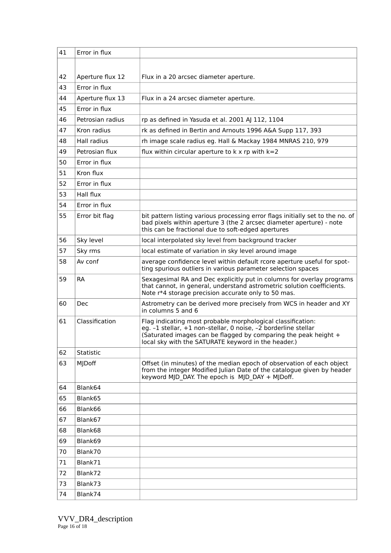| 41 | Error in flux    |                                                                                                                                                                                                                                                         |
|----|------------------|---------------------------------------------------------------------------------------------------------------------------------------------------------------------------------------------------------------------------------------------------------|
|    |                  |                                                                                                                                                                                                                                                         |
| 42 | Aperture flux 12 | Flux in a 20 arcsec diameter aperture.                                                                                                                                                                                                                  |
| 43 | Frror in flux    |                                                                                                                                                                                                                                                         |
| 44 | Aperture flux 13 | Flux in a 24 arcsec diameter aperture.                                                                                                                                                                                                                  |
| 45 | Error in flux    |                                                                                                                                                                                                                                                         |
| 46 | Petrosian radius | rp as defined in Yasuda et al. 2001 AJ 112, 1104                                                                                                                                                                                                        |
| 47 | Kron radius      | rk as defined in Bertin and Arnouts 1996 A&A Supp 117, 393                                                                                                                                                                                              |
| 48 | Hall radius      | rh image scale radius eg. Hall & Mackay 1984 MNRAS 210, 979                                                                                                                                                                                             |
| 49 | Petrosian flux   | flux within circular aperture to $k \times r$ with $k=2$                                                                                                                                                                                                |
| 50 | Error in flux    |                                                                                                                                                                                                                                                         |
| 51 | Kron flux        |                                                                                                                                                                                                                                                         |
| 52 | Error in flux    |                                                                                                                                                                                                                                                         |
| 53 | Hall flux        |                                                                                                                                                                                                                                                         |
| 54 | Frror in flux    |                                                                                                                                                                                                                                                         |
|    |                  |                                                                                                                                                                                                                                                         |
| 55 | Error bit flag   | bit pattern listing various processing error flags initially set to the no. of<br>bad pixels within aperture 3 (the 2 arcsec diameter aperture) - note<br>this can be fractional due to soft-edged apertures                                            |
| 56 | Sky level        | local interpolated sky level from background tracker                                                                                                                                                                                                    |
| 57 | Sky rms          | local estimate of variation in sky level around image                                                                                                                                                                                                   |
| 58 | Av conf          | average confidence level within default rcore aperture useful for spot-<br>ting spurious outliers in various parameter selection spaces                                                                                                                 |
| 59 | <b>RA</b>        | Sexagesimal RA and Dec explicitly put in columns for overlay programs<br>that cannot, in general, understand astrometric solution coefficients.<br>Note r*4 storage precision accurate only to 50 mas.                                                  |
| 60 | Dec              | Astrometry can be derived more precisely from WCS in header and XY<br>in columns 5 and 6                                                                                                                                                                |
| 61 | Classification   | Flag indicating most probable morphological classification:<br>eg. -1 stellar, +1 non-stellar, 0 noise, -2 borderline stellar<br>(Saturated images can be flagged by comparing the peak height +<br>local sky with the SATURATE keyword in the header.) |
| 62 | Statistic        |                                                                                                                                                                                                                                                         |
| 63 | MJDoff           | Offset (in minutes) of the median epoch of observation of each object<br>from the integer Modified Julian Date of the catalogue given by header<br>keyword MJD DAY. The epoch is MJD DAY + MJDoff.                                                      |
| 64 | Blank64          |                                                                                                                                                                                                                                                         |
| 65 | Blank65          |                                                                                                                                                                                                                                                         |
| 66 | Blank66          |                                                                                                                                                                                                                                                         |
| 67 | Blank67          |                                                                                                                                                                                                                                                         |
| 68 | Blank68          |                                                                                                                                                                                                                                                         |
| 69 | Blank69          |                                                                                                                                                                                                                                                         |
| 70 | Blank70          |                                                                                                                                                                                                                                                         |
| 71 | Blank71          |                                                                                                                                                                                                                                                         |
| 72 | Blank72          |                                                                                                                                                                                                                                                         |
| 73 | Blank73          |                                                                                                                                                                                                                                                         |
| 74 | Blank74          |                                                                                                                                                                                                                                                         |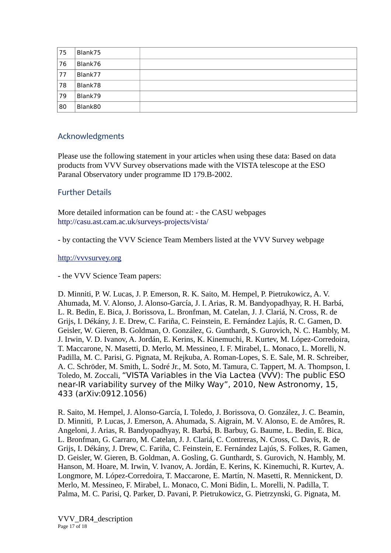| 75 | Blank75 |  |
|----|---------|--|
| 76 | Blank76 |  |
| 77 | Blank77 |  |
| 78 | Blank78 |  |
| 79 | Blank79 |  |
| 80 | Blank80 |  |

#### Acknowledgments

Please use the following statement in your articles when using these data: Based on data products from VVV Survey observations made with the VISTA telescope at the ESO Paranal Observatory under programme ID 179.B-2002.

#### Further Details

More detailed information can be found at: - the CASU webpages http://casu.ast.cam.ac.uk/surveys-projects/vista/

- by contacting the VVV Science Team Members listed at the VVV Survey webpage

#### [http://vvvsurvey.org](http://vvvsurvey.org/)

- the VVV Science Team papers:

D. Minniti, P. W. Lucas, J. P. Emerson, R. K. Saito, M. Hempel, P. Pietrukowicz, A. V. Ahumada, M. V. Alonso, J. Alonso-García, J. I. Arias, R. M. Bandyopadhyay, R. H. Barbá, L. R. Bedin, E. Bica, J. Borissova, L. Bronfman, M. Catelan, J. J. Clariá, N. Cross, R. de Grijs, I. Dékány, J. E. Drew, C. Fariña, C. Feinstein, E. Fernández Lajús, R. C. Gamen, D. Geisler, W. Gieren, B. Goldman, O. González, G. Gunthardt, S. Gurovich, N. C. Hambly, M. J. Irwin, V. D. Ivanov, A. Jordán, E. Kerins, K. Kinemuchi, R. Kurtev, M. López-Corredoira, T. Maccarone, N. Masetti, D. Merlo, M. Messineo, I. F. Mirabel, L. Monaco, L. Morelli, N. Padilla, M. C. Parisi, G. Pignata, M. Rejkuba, A. Roman-Lopes, S. E. Sale, M. R. Schreiber, A. C. Schröder, M. Smith, L. Sodré Jr., M. Soto, M. Tamura, C. Tappert, M. A. Thompson, I. Toledo, M. Zoccali, "VISTA Variables in the Via Lactea (VVV): The public ESO near-IR variability survey of the Milky Way", 2010, New Astronomy, 15, 433 (arXiv:0912.1056)

R. Saito, M. Hempel, J. Alonso-García, I. Toledo, J. Borissova, O. González, J. C. Beamin, D. Minniti, P. Lucas, J. Emerson, A. Ahumada, S. Aigrain, M. V. Alonso, E. de Amôres, R. Angeloni, J. Arias, R. Bandyopadhyay, R. Barbá, B. Barbuy, G. Baume, L. Bedin, E. Bica, L. Bronfman, G. Carraro, M. Catelan, J. J. Clariá, C. Contreras, N. Cross, C. Davis, R. de Grijs, I. Dékány, J. Drew, C. Fariña, C. Feinstein, E. Fernández Lajús, S. Folkes, R. Gamen, D. Geisler, W. Gieren, B. Goldman, A. Gosling, G. Gunthardt, S. Gurovich, N. Hambly, M. Hanson, M. Hoare, M. Irwin, V. Ivanov, A. Jordán, E. Kerins, K. Kinemuchi, R. Kurtev, A. Longmore, M. López-Corredoira, T. Maccarone, E. Martín, N. Masetti, R. Mennickent, D. Merlo, M. Messineo, F. Mirabel, L. Monaco, C. Moni Bidin, L. Morelli, N. Padilla, T. Palma, M. C. Parisi, Q. Parker, D. Pavani, P. Pietrukowicz, G. Pietrzynski, G. Pignata, M.